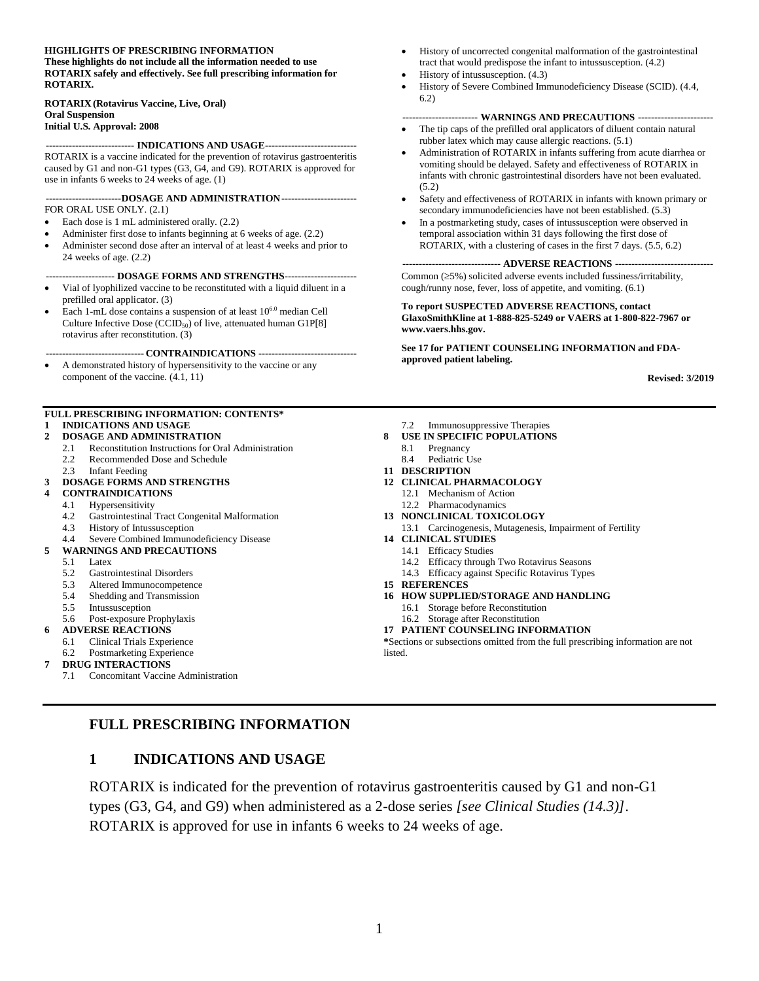#### **HIGHLIGHTS OF PRESCRIBING INFORMATION**

**These highlights do not include all the information needed to use ROTARIX safely and effectively. See full prescribing information for ROTARIX.**

#### **ROTARIX (Rotavirus Vaccine, Live, Oral) Oral Suspension**

#### **Initial U.S. Approval: 2008**

#### **--------------------------- INDICATIONS AND USAGE----------------------------**

ROTARIX is a vaccine indicated for the prevention of rotavirus gastroenteritis caused by G1 and non-G1 types (G3, G4, and G9). ROTARIX is approved for use in infants 6 weeks to 24 weeks of age. (1)

#### **-----------------------DOSAGE AND ADMINISTRATION-----------------------** FOR ORAL USE ONLY. (2.1)

- Each dose is 1 mL administered orally. (2.2)
- Administer first dose to infants beginning at 6 weeks of age. (2.2)
- Administer second dose after an interval of at least 4 weeks and prior to
- 24 weeks of age. (2.2)

#### **--------------------- DOSAGE FORMS AND STRENGTHS----------------------**

- Vial of lyophilized vaccine to be reconstituted with a liquid diluent in a prefilled oral applicator. (3)
- Each 1-mL dose contains a suspension of at least  $10^{6.0}$  median Cell Culture Infective Dose (CCID<sub>50</sub>) of live, attenuated human G1P[8] rotavirus after reconstitution. (3)

**------------------------------ CONTRAINDICATIONS ------------------------------**

• A demonstrated history of hypersensitivity to the vaccine or any component of the vaccine. (4.1, 11)

#### **FULL PRESCRIBING INFORMATION: CONTENTS\* 1 [INDICATIONS AND USAGE](#page-0-0)**

#### **2 [DOSAGE AND ADMINISTRATION](#page-1-0)**

- 2.1 [Reconstitution Instructions for Oral Administration](#page-1-1)
- 2.2 [Recommended Dose and Schedule](#page-2-0)
- 2.3 [Infant Feeding](#page-2-1)

#### **3 [DOSAGE FORMS AND STRENGTHS](#page-2-2)**

- **4 [CONTRAINDICATIONS](#page-3-0)**
- 4.1 [Hypersensitivity](#page-3-1)
- 4.2 [Gastrointestinal Tract Congenital Malformation](#page-3-2)
- [History of Intussusception](#page-3-3)
- 4.4 [Severe Combined Immunodeficiency Disease](#page-3-4)
- **5 [WARNINGS AND PRECAUTIONS](#page-3-5)**
	- 5.1 [Latex](#page-3-6)
	- 5.2 [Gastrointestinal Disorders](#page-3-7)
	- 5.3 [Altered Immunocompetence](#page-3-8)
	- 5.4 [Shedding and Transmission](#page-4-0)
	- 5.5 [Intussusception](#page-4-1)
	- 5.6 [Post-exposure Prophylaxis](#page-4-2)
	- **6 [ADVERSE REACTIONS](#page-4-3)**
	- 6.1 [Clinical Trials Experience](#page-4-4)

#### 6.2 [Postmarketing Experience](#page-7-0)

#### **7 [DRUG INTERACTIONS](#page-9-0)**

7.1 [Concomitant Vaccine Administration](#page-9-1)

- History of uncorrected congenital malformation of the gastrointestinal tract that would predispose the infant to intussusception. (4.2)
- History of intussusception. (4.3)
- History of Severe Combined Immunodeficiency Disease (SCID). (4.4, 6.2)

#### **----------------------- WARNINGS AND PRECAUTIONS -----------------------**

- The tip caps of the prefilled oral applicators of diluent contain natural rubber latex which may cause allergic reactions. (5.1)
- Administration of ROTARIX in infants suffering from acute diarrhea or vomiting should be delayed. Safety and effectiveness of ROTARIX in infants with chronic gastrointestinal disorders have not been evaluated. (5.2)
- Safety and effectiveness of ROTARIX in infants with known primary or secondary immunodeficiencies have not been established. (5.3)
- In a postmarketing study, cases of intussusception were observed in temporal association within 31 days following the first dose of ROTARIX, with a clustering of cases in the first 7 days. (5.5, 6.2)

#### **------------------------------ ADVERSE REACTIONS ------------------------------**

Common  $(\geq 5\%)$  solicited adverse events included fussiness/irritability, cough/runny nose, fever, loss of appetite, and vomiting. (6.1)

**To report SUSPECTED ADVERSE REACTIONS, contact GlaxoSmithKline at 1-888-825-5249 or VAERS at 1-800-822-7967 or [www.vaers.hhs.gov.](http://www.vaers.hhs.gov/)**

**See 17 for PATIENT COUNSELING INFORMATION and FDAapproved patient labeling.**

**Revised: 3/2019**

- 7.2 [Immunosuppressive Therapies](#page-9-2)
- **8 [USE IN SPECIFIC POPULATIONS](#page-9-3)**
	- 8.1 [Pregnancy](#page-9-4)
	- 8.4 [Pediatric Use](#page-9-5)
- **11 [DESCRIPTION](#page-9-6)**
- **12 [CLINICAL PHARMACOLOGY](#page-10-0)**
	- 12.1 [Mechanism of Action](#page-10-1)
	- 12.2 [Pharmacodynamics](#page-10-2)
- **13 [NONCLINICAL TOXICOLOGY](#page-11-0)**
	- 13.1 [Carcinogenesis, Mutagenesis, Impairment of Fertility](#page-11-1)
- **14 [CLINICAL STUDIES](#page-11-2)**
	- 14.1 [Efficacy Studies](#page-11-3)
	- 14.2 [Efficacy through Two Rotavirus Seasons](#page-14-0)
	- 14.3 [Efficacy against Specific Rotavirus Types](#page-15-0)
- **15 [REFERENCES](#page-17-0)**
- **16 [HOW SUPPLIED/STORAGE](#page-17-1) AND HANDLING**
	- 16.1 [Storage before Reconstitution](#page-17-2)
	- 16.2 [Storage after Reconstitution](#page-18-0)
- **17 [PATIENT COUNSELING INFORMATION](#page-18-1)**

**\***Sections or subsections omitted from the full prescribing information are not listed.

#### <span id="page-0-0"></span>**FULL PRESCRIBING INFORMATION**

#### **1 INDICATIONS AND USAGE**

ROTARIX is indicated for the prevention of rotavirus gastroenteritis caused by G1 and non-G1 types (G3, G4, and G9) when administered as a 2-dose series *[see Clinical Studies (14.3)]*. ROTARIX is approved for use in infants 6 weeks to 24 weeks of age.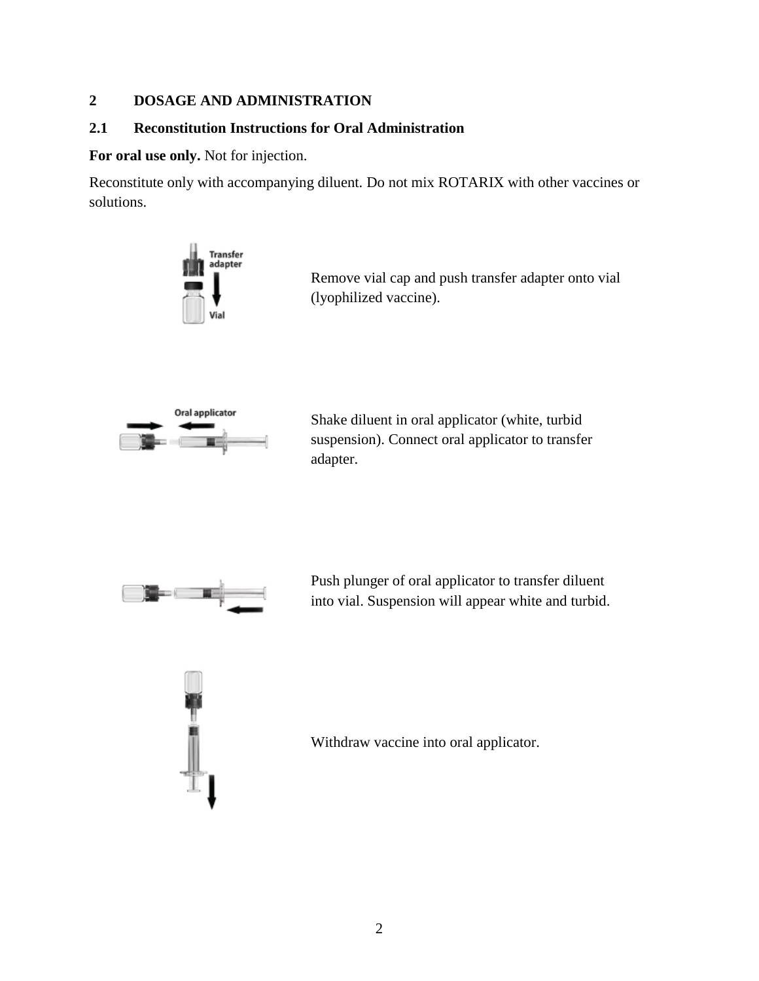## <span id="page-1-0"></span>**2 DOSAGE AND ADMINISTRATION**

## <span id="page-1-1"></span>**2.1 Reconstitution Instructions for Oral Administration**

**For oral use only.** Not for injection.

Reconstitute only with accompanying diluent. Do not mix ROTARIX with other vaccines or solutions.



Remove vial cap and push transfer adapter onto vial (lyophilized vaccine).



Shake diluent in oral applicator (white, turbid suspension). Connect oral applicator to transfer adapter.



Push plunger of oral applicator to transfer diluent into vial. Suspension will appear white and turbid.



Withdraw vaccine into oral applicator.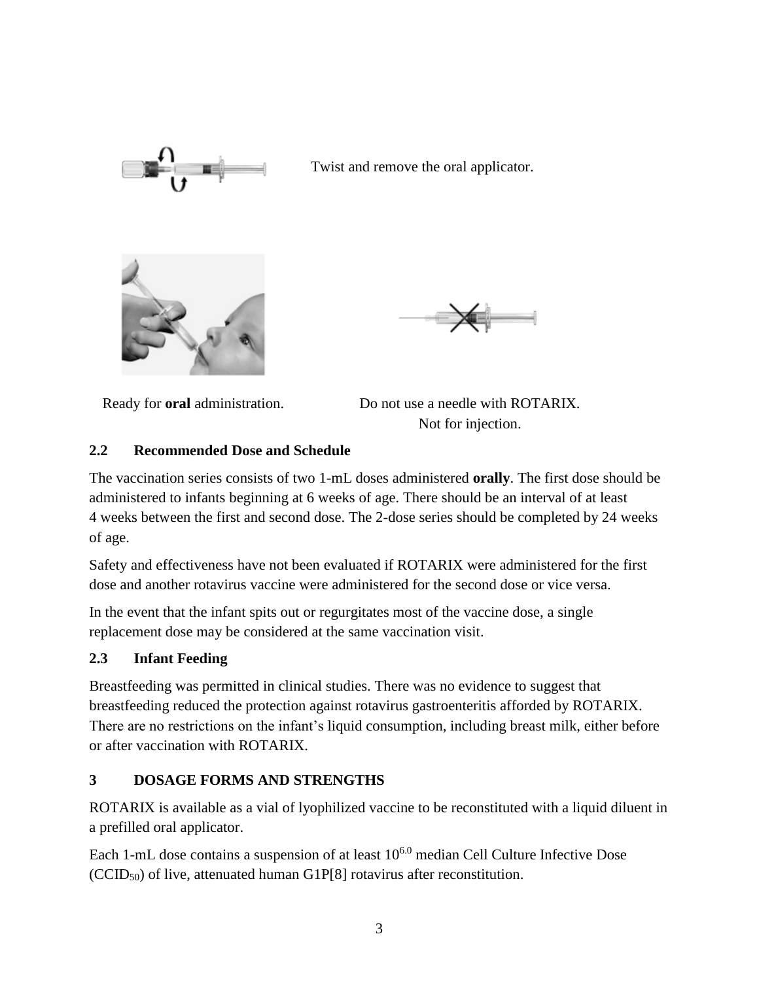

Twist and remove the oral applicator.





Ready for **oral** administration. Do not use a needle with ROTARIX. Not for injection.

# <span id="page-2-0"></span>**2.2 Recommended Dose and Schedule**

The vaccination series consists of two 1-mL doses administered **orally**. The first dose should be administered to infants beginning at 6 weeks of age. There should be an interval of at least 4 weeks between the first and second dose. The 2-dose series should be completed by 24 weeks of age.

Safety and effectiveness have not been evaluated if ROTARIX were administered for the first dose and another rotavirus vaccine were administered for the second dose or vice versa.

In the event that the infant spits out or regurgitates most of the vaccine dose, a single replacement dose may be considered at the same vaccination visit.

# <span id="page-2-1"></span>**2.3 Infant Feeding**

Breastfeeding was permitted in clinical studies. There was no evidence to suggest that breastfeeding reduced the protection against rotavirus gastroenteritis afforded by ROTARIX. There are no restrictions on the infant's liquid consumption, including breast milk, either before or after vaccination with ROTARIX.

# <span id="page-2-2"></span>**3 DOSAGE FORMS AND STRENGTHS**

ROTARIX is available as a vial of lyophilized vaccine to be reconstituted with a liquid diluent in a prefilled oral applicator.

Each 1-mL dose contains a suspension of at least 10<sup>6.0</sup> median Cell Culture Infective Dose  $(CCID<sub>50</sub>)$  of live, attenuated human G1P[8] rotavirus after reconstitution.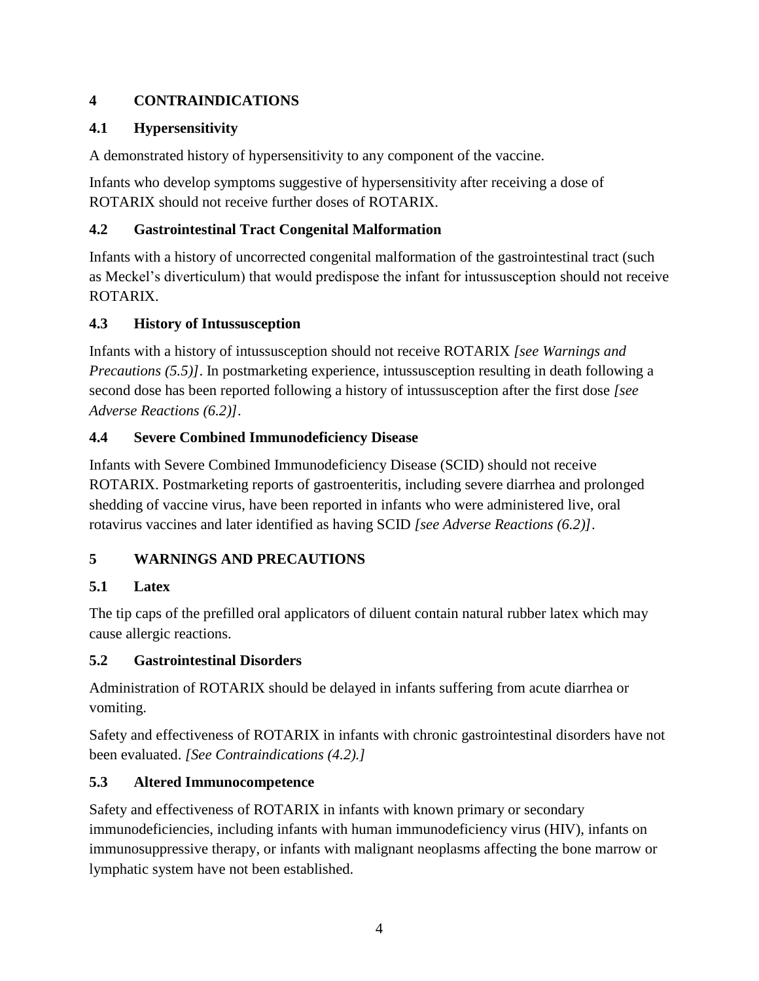# <span id="page-3-0"></span>**4 CONTRAINDICATIONS**

# <span id="page-3-1"></span>**4.1 Hypersensitivity**

A demonstrated history of hypersensitivity to any component of the vaccine.

Infants who develop symptoms suggestive of hypersensitivity after receiving a dose of ROTARIX should not receive further doses of ROTARIX.

# <span id="page-3-2"></span>**4.2 Gastrointestinal Tract Congenital Malformation**

Infants with a history of uncorrected congenital malformation of the gastrointestinal tract (such as Meckel's diverticulum) that would predispose the infant for intussusception should not receive ROTARIX.

# <span id="page-3-3"></span>**4.3 History of Intussusception**

Infants with a history of intussusception should not receive ROTARIX *[see Warnings and Precautions (5.5)]*. In postmarketing experience, intussusception resulting in death following a second dose has been reported following a history of intussusception after the first dose *[see Adverse Reactions (6.2)]*.

# <span id="page-3-4"></span>**4.4 Severe Combined Immunodeficiency Disease**

Infants with Severe Combined Immunodeficiency Disease (SCID) should not receive ROTARIX. Postmarketing reports of gastroenteritis, including severe diarrhea and prolonged shedding of vaccine virus, have been reported in infants who were administered live, oral rotavirus vaccines and later identified as having SCID *[see Adverse Reactions (6.2)]*.

# <span id="page-3-5"></span>**5 WARNINGS AND PRECAUTIONS**

# <span id="page-3-6"></span>**5.1 Latex**

The tip caps of the prefilled oral applicators of diluent contain natural rubber latex which may cause allergic reactions.

# <span id="page-3-7"></span>**5.2 Gastrointestinal Disorders**

Administration of ROTARIX should be delayed in infants suffering from acute diarrhea or vomiting.

Safety and effectiveness of ROTARIX in infants with chronic gastrointestinal disorders have not been evaluated. *[See Contraindications (4.2).]*

# <span id="page-3-8"></span>**5.3 Altered Immunocompetence**

Safety and effectiveness of ROTARIX in infants with known primary or secondary immunodeficiencies, including infants with human immunodeficiency virus (HIV), infants on immunosuppressive therapy, or infants with malignant neoplasms affecting the bone marrow or lymphatic system have not been established.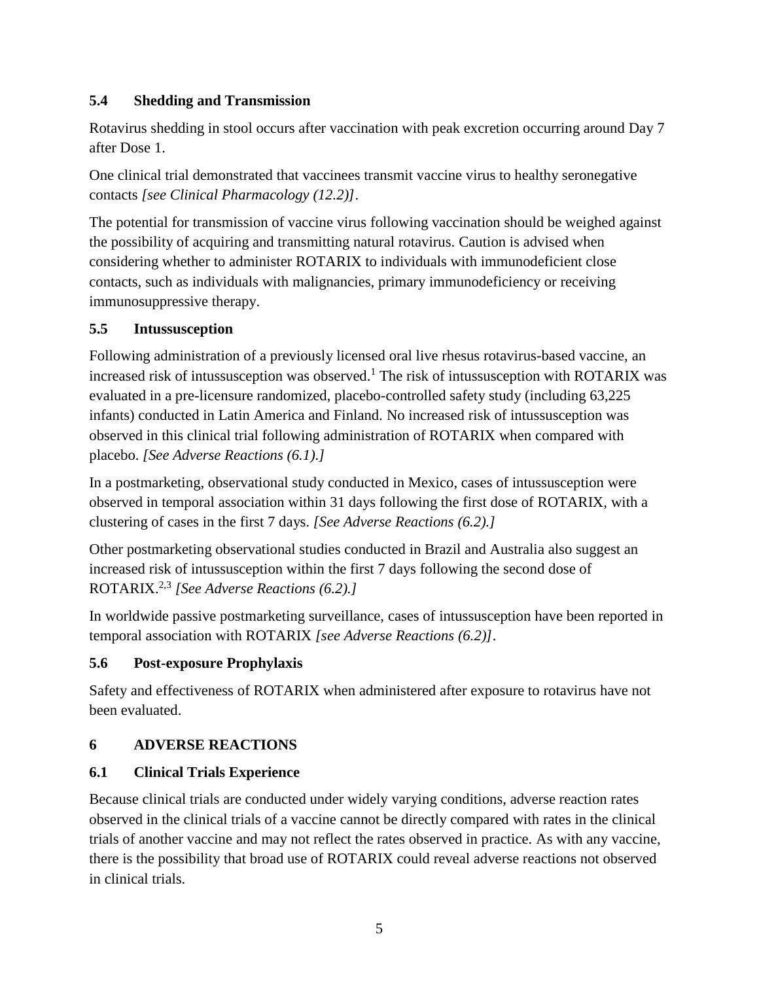# <span id="page-4-0"></span>**5.4 Shedding and Transmission**

Rotavirus shedding in stool occurs after vaccination with peak excretion occurring around Day 7 after Dose 1.

One clinical trial demonstrated that vaccinees transmit vaccine virus to healthy seronegative contacts *[see Clinical Pharmacology (12.2)]*.

The potential for transmission of vaccine virus following vaccination should be weighed against the possibility of acquiring and transmitting natural rotavirus. Caution is advised when considering whether to administer ROTARIX to individuals with immunodeficient close contacts, such as individuals with malignancies, primary immunodeficiency or receiving immunosuppressive therapy.

# <span id="page-4-1"></span>**5.5 Intussusception**

Following administration of a previously licensed oral live rhesus rotavirus-based vaccine, an increased risk of intussusception was observed.<sup>1</sup> The risk of intussusception with ROTARIX was evaluated in a pre-licensure randomized, placebo-controlled safety study (including 63,225 infants) conducted in Latin America and Finland. No increased risk of intussusception was observed in this clinical trial following administration of ROTARIX when compared with placebo. *[See Adverse Reactions (6.1).]*

In a postmarketing, observational study conducted in Mexico, cases of intussusception were observed in temporal association within 31 days following the first dose of ROTARIX, with a clustering of cases in the first 7 days. *[See Adverse Reactions (6.2).]*

Other postmarketing observational studies conducted in Brazil and Australia also suggest an increased risk of intussusception within the first 7 days following the second dose of ROTARIX.2,3 *[See Adverse Reactions (6.2).]*

In worldwide passive postmarketing surveillance, cases of intussusception have been reported in temporal association with ROTARIX *[see Adverse Reactions (6.2)]*.

# <span id="page-4-2"></span>**5.6 Post-exposure Prophylaxis**

Safety and effectiveness of ROTARIX when administered after exposure to rotavirus have not been evaluated.

# <span id="page-4-3"></span>**6 ADVERSE REACTIONS**

# <span id="page-4-4"></span>**6.1 Clinical Trials Experience**

Because clinical trials are conducted under widely varying conditions, adverse reaction rates observed in the clinical trials of a vaccine cannot be directly compared with rates in the clinical trials of another vaccine and may not reflect the rates observed in practice. As with any vaccine, there is the possibility that broad use of ROTARIX could reveal adverse reactions not observed in clinical trials.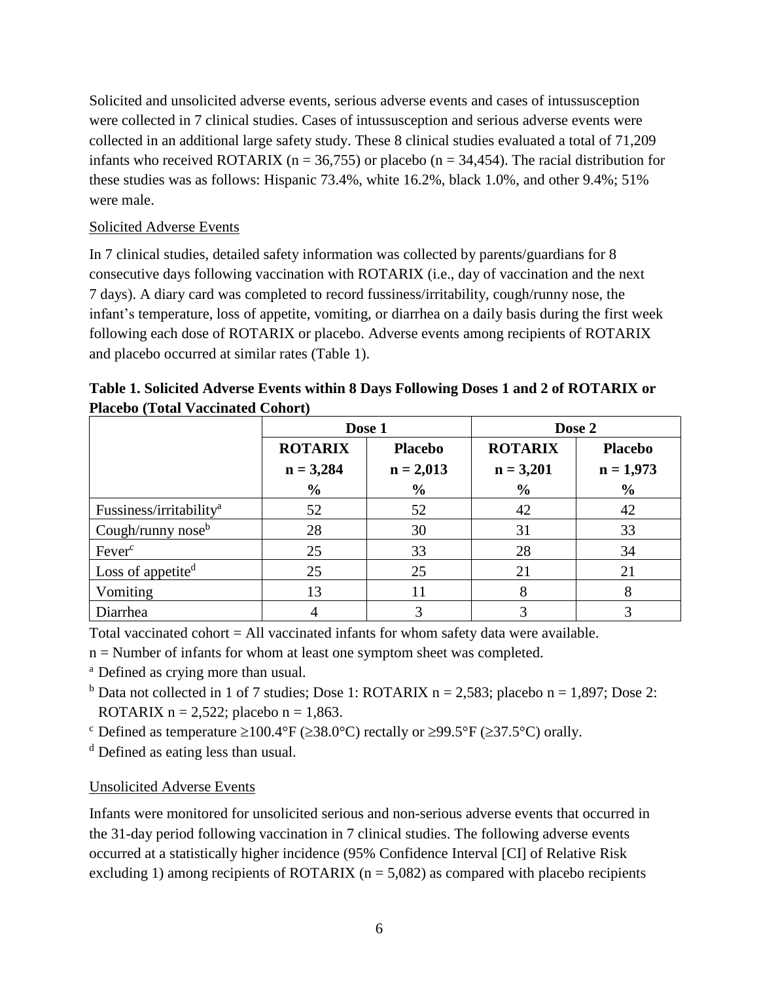Solicited and unsolicited adverse events, serious adverse events and cases of intussusception were collected in 7 clinical studies. Cases of intussusception and serious adverse events were collected in an additional large safety study. These 8 clinical studies evaluated a total of 71,209 infants who received ROTARIX ( $n = 36,755$ ) or placebo ( $n = 34,454$ ). The racial distribution for these studies was as follows: Hispanic 73.4%, white 16.2%, black 1.0%, and other 9.4%; 51% were male.

### Solicited Adverse Events

In 7 clinical studies, detailed safety information was collected by parents/guardians for 8 consecutive days following vaccination with ROTARIX (i.e., day of vaccination and the next 7 days). A diary card was completed to record fussiness/irritability, cough/runny nose, the infant's temperature, loss of appetite, vomiting, or diarrhea on a daily basis during the first week following each dose of ROTARIX or placebo. Adverse events among recipients of ROTARIX and placebo occurred at similar rates (Table 1).

|                                     |                                  | Dose 1        | Dose 2         |                |  |
|-------------------------------------|----------------------------------|---------------|----------------|----------------|--|
|                                     | <b>ROTARIX</b><br><b>Placebo</b> |               | <b>ROTARIX</b> | <b>Placebo</b> |  |
|                                     | $n = 3,284$                      | $n = 2,013$   | $n = 3,201$    | $n = 1,973$    |  |
|                                     | $\frac{6}{6}$                    | $\frac{0}{0}$ | $\frac{6}{6}$  | $\frac{0}{0}$  |  |
| Fussiness/irritability <sup>a</sup> | 52                               | 52            | 42             | 42             |  |
| Cough/runny nose $b$                | 28                               | 30            | 31             | 33             |  |
| Fever <sup>c</sup>                  | 25                               | 33            | 28             | 34             |  |
| Loss of appetite $d$                | 25                               | 25            | 21             | 21             |  |
| Vomiting                            | 13                               |               |                | 8              |  |
| Diarrhea                            |                                  | 3             |                |                |  |

**Table 1. Solicited Adverse Events within 8 Days Following Doses 1 and 2 of ROTARIX or Placebo (Total Vaccinated Cohort)**

Total vaccinated cohort  $=$  All vaccinated infants for whom safety data were available.

n = Number of infants for whom at least one symptom sheet was completed.

<sup>a</sup> Defined as crying more than usual.

<sup>b</sup> Data not collected in 1 of 7 studies; Dose 1: ROTARIX n = 2,583; placebo n = 1,897; Dose 2: ROTARIX  $n = 2,522$ ; placebo  $n = 1,863$ .

<sup>c</sup> Defined as temperature  $\geq 100.4$  °F ( $\geq 38.0$  °C) rectally or  $\geq 99.5$  °F ( $\geq 37.5$  °C) orally.

<sup>d</sup> Defined as eating less than usual.

# Unsolicited Adverse Events

Infants were monitored for unsolicited serious and non-serious adverse events that occurred in the 31-day period following vaccination in 7 clinical studies. The following adverse events occurred at a statistically higher incidence (95% Confidence Interval [CI] of Relative Risk excluding 1) among recipients of ROTARIX ( $n = 5,082$ ) as compared with placebo recipients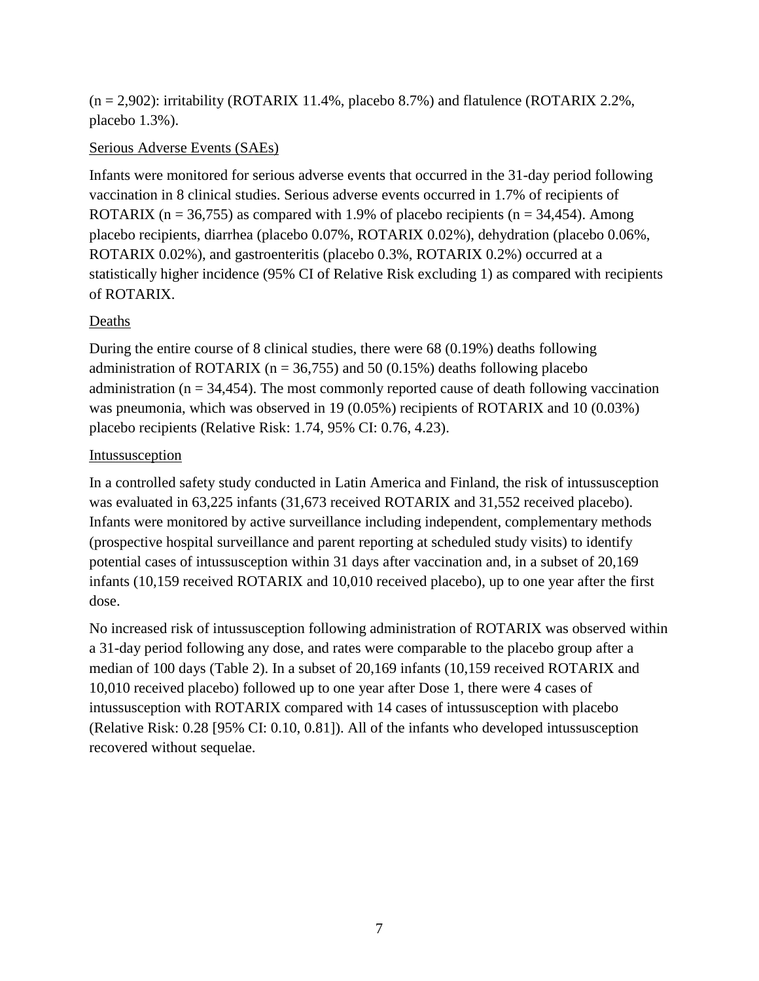$(n = 2,902)$ : irritability (ROTARIX 11.4%, placebo 8.7%) and flatulence (ROTARIX 2.2%, placebo 1.3%).

### Serious Adverse Events (SAEs)

Infants were monitored for serious adverse events that occurred in the 31-day period following vaccination in 8 clinical studies. Serious adverse events occurred in 1.7% of recipients of ROTARIX ( $n = 36,755$ ) as compared with 1.9% of placebo recipients ( $n = 34,454$ ). Among placebo recipients, diarrhea (placebo 0.07%, ROTARIX 0.02%), dehydration (placebo 0.06%, ROTARIX 0.02%), and gastroenteritis (placebo 0.3%, ROTARIX 0.2%) occurred at a statistically higher incidence (95% CI of Relative Risk excluding 1) as compared with recipients of ROTARIX.

### Deaths

During the entire course of 8 clinical studies, there were 68 (0.19%) deaths following administration of ROTARIX ( $n = 36,755$ ) and 50 (0.15%) deaths following placebo administration ( $n = 34,454$ ). The most commonly reported cause of death following vaccination was pneumonia, which was observed in 19 (0.05%) recipients of ROTARIX and 10 (0.03%) placebo recipients (Relative Risk: 1.74, 95% CI: 0.76, 4.23).

### Intussusception

In a controlled safety study conducted in Latin America and Finland, the risk of intussusception was evaluated in 63,225 infants (31,673 received ROTARIX and 31,552 received placebo). Infants were monitored by active surveillance including independent, complementary methods (prospective hospital surveillance and parent reporting at scheduled study visits) to identify potential cases of intussusception within 31 days after vaccination and, in a subset of 20,169 infants (10,159 received ROTARIX and 10,010 received placebo), up to one year after the first dose.

No increased risk of intussusception following administration of ROTARIX was observed within a 31-day period following any dose, and rates were comparable to the placebo group after a median of 100 days (Table 2). In a subset of 20,169 infants (10,159 received ROTARIX and 10,010 received placebo) followed up to one year after Dose 1, there were 4 cases of intussusception with ROTARIX compared with 14 cases of intussusception with placebo (Relative Risk: 0.28 [95% CI: 0.10, 0.81]). All of the infants who developed intussusception recovered without sequelae.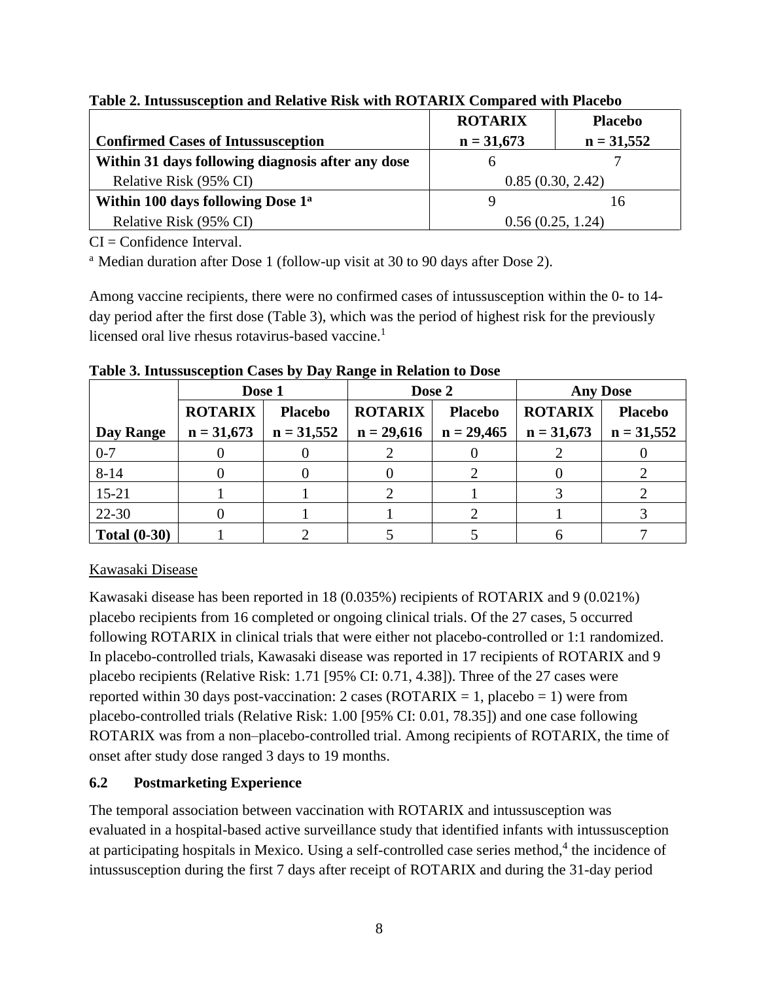|                                                   | <b>ROTARIX</b>   | <b>Placebo</b> |  |
|---------------------------------------------------|------------------|----------------|--|
| <b>Confirmed Cases of Intussusception</b>         | $n = 31,673$     | $n = 31,552$   |  |
| Within 31 days following diagnosis after any dose |                  |                |  |
| Relative Risk (95% CI)                            | 0.85(0.30, 2.42) |                |  |
| Within 100 days following Dose 1 <sup>a</sup>     |                  | 16             |  |
| Relative Risk (95% CI)                            | 0.56(0.25, 1.24) |                |  |

**Table 2. Intussusception and Relative Risk with ROTARIX Compared with Placebo**

 $CI = Confidence Interval$ .

<sup>a</sup> Median duration after Dose 1 (follow-up visit at 30 to 90 days after Dose 2).

Among vaccine recipients, there were no confirmed cases of intussusception within the 0- to 14 day period after the first dose (Table 3), which was the period of highest risk for the previously licensed oral live rhesus rotavirus-based vaccine. 1

|                     | Dose 1         |                | Dose 2         |                | <b>Any Dose</b> |                |
|---------------------|----------------|----------------|----------------|----------------|-----------------|----------------|
|                     | <b>ROTARIX</b> | <b>Placebo</b> | <b>ROTARIX</b> | <b>Placebo</b> | <b>ROTARIX</b>  | <b>Placebo</b> |
| Day Range           | $n = 31,673$   | $n = 31,552$   | $n = 29,616$   | $n = 29,465$   | $n = 31,673$    | $n = 31,552$   |
| $0 - 7$             |                |                |                |                |                 |                |
| $8 - 14$            |                |                |                |                |                 |                |
| $15 - 21$           |                |                |                |                |                 |                |
| 22-30               |                |                |                |                |                 |                |
| <b>Total (0-30)</b> |                |                |                |                |                 |                |

**Table 3. Intussusception Cases by Day Range in Relation to Dose**

# Kawasaki Disease

Kawasaki disease has been reported in 18 (0.035%) recipients of ROTARIX and 9 (0.021%) placebo recipients from 16 completed or ongoing clinical trials. Of the 27 cases, 5 occurred following ROTARIX in clinical trials that were either not placebo-controlled or 1:1 randomized. In placebo-controlled trials, Kawasaki disease was reported in 17 recipients of ROTARIX and 9 placebo recipients (Relative Risk: 1.71 [95% CI: 0.71, 4.38]). Three of the 27 cases were reported within 30 days post-vaccination: 2 cases (ROTARIX = 1, placebo = 1) were from placebo-controlled trials (Relative Risk: 1.00 [95% CI: 0.01, 78.35]) and one case following ROTARIX was from a non–placebo-controlled trial. Among recipients of ROTARIX, the time of onset after study dose ranged 3 days to 19 months.

# <span id="page-7-0"></span>**6.2 Postmarketing Experience**

The temporal association between vaccination with ROTARIX and intussusception was evaluated in a hospital-based active surveillance study that identified infants with intussusception at participating hospitals in Mexico. Using a self-controlled case series method,<sup>4</sup> the incidence of intussusception during the first 7 days after receipt of ROTARIX and during the 31-day period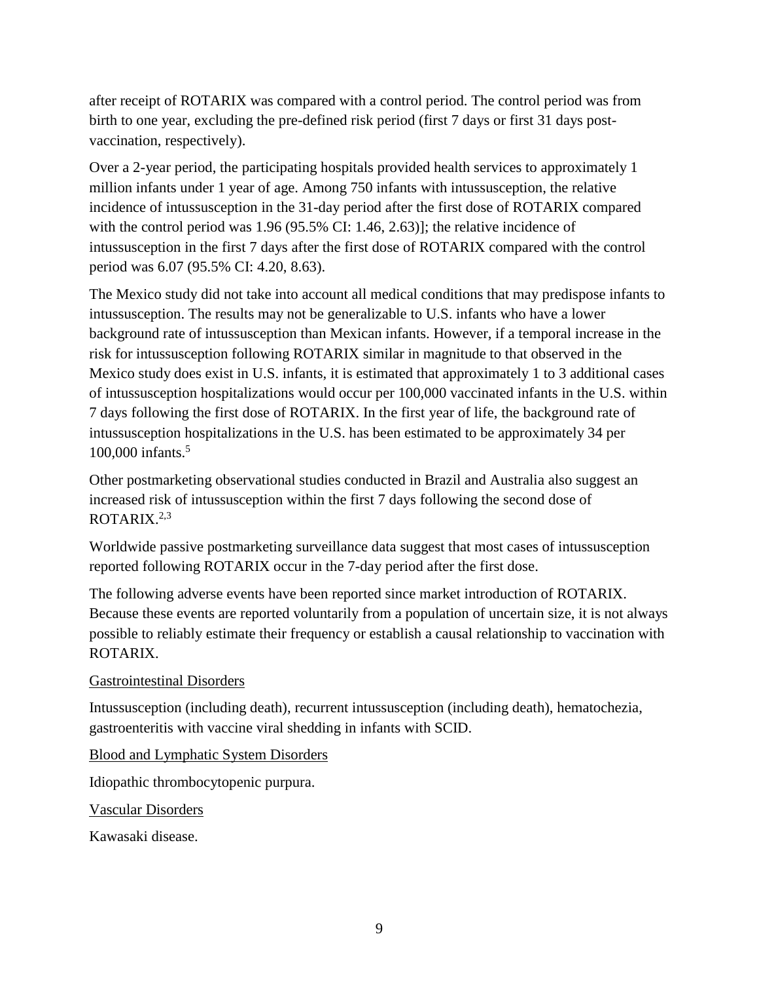after receipt of ROTARIX was compared with a control period. The control period was from birth to one year, excluding the pre-defined risk period (first 7 days or first 31 days postvaccination, respectively).

Over a 2-year period, the participating hospitals provided health services to approximately 1 million infants under 1 year of age. Among 750 infants with intussusception, the relative incidence of intussusception in the 31-day period after the first dose of ROTARIX compared with the control period was 1.96 (95.5% CI: 1.46, 2.63)]; the relative incidence of intussusception in the first 7 days after the first dose of ROTARIX compared with the control period was 6.07 (95.5% CI: 4.20, 8.63).

The Mexico study did not take into account all medical conditions that may predispose infants to intussusception. The results may not be generalizable to U.S. infants who have a lower background rate of intussusception than Mexican infants. However, if a temporal increase in the risk for intussusception following ROTARIX similar in magnitude to that observed in the Mexico study does exist in U.S. infants, it is estimated that approximately 1 to 3 additional cases of intussusception hospitalizations would occur per 100,000 vaccinated infants in the U.S. within 7 days following the first dose of ROTARIX. In the first year of life, the background rate of intussusception hospitalizations in the U.S. has been estimated to be approximately 34 per 100,000 infants.<sup>5</sup>

Other postmarketing observational studies conducted in Brazil and Australia also suggest an increased risk of intussusception within the first 7 days following the second dose of ROTARIX. $2,3$ 

Worldwide passive postmarketing surveillance data suggest that most cases of intussusception reported following ROTARIX occur in the 7-day period after the first dose.

The following adverse events have been reported since market introduction of ROTARIX. Because these events are reported voluntarily from a population of uncertain size, it is not always possible to reliably estimate their frequency or establish a causal relationship to vaccination with ROTARIX.

#### Gastrointestinal Disorders

Intussusception (including death), recurrent intussusception (including death), hematochezia, gastroenteritis with vaccine viral shedding in infants with SCID.

Blood and Lymphatic System Disorders

Idiopathic thrombocytopenic purpura.

Vascular Disorders

Kawasaki disease.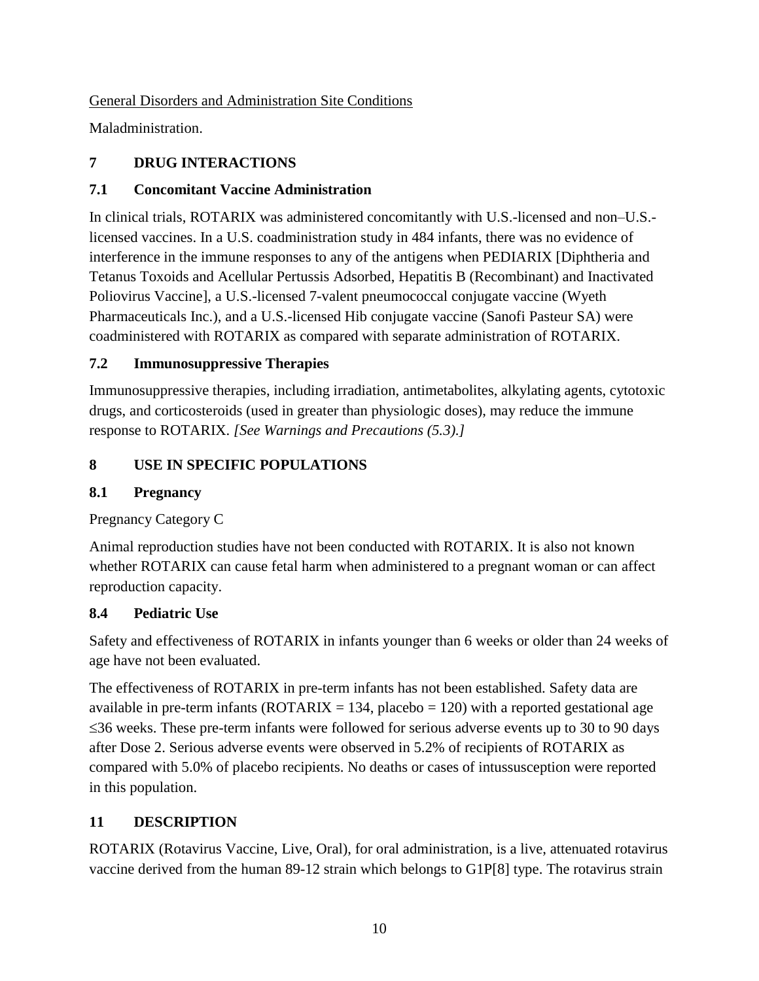General Disorders and Administration Site Conditions

<span id="page-9-0"></span>Maladministration.

# **7 DRUG INTERACTIONS**

# <span id="page-9-1"></span>**7.1 Concomitant Vaccine Administration**

In clinical trials, ROTARIX was administered concomitantly with U.S.-licensed and non–U.S. licensed vaccines. In a U.S. coadministration study in 484 infants, there was no evidence of interference in the immune responses to any of the antigens when PEDIARIX [Diphtheria and Tetanus Toxoids and Acellular Pertussis Adsorbed, Hepatitis B (Recombinant) and Inactivated Poliovirus Vaccine], a U.S.-licensed 7-valent pneumococcal conjugate vaccine (Wyeth Pharmaceuticals Inc.), and a U.S.-licensed Hib conjugate vaccine (Sanofi Pasteur SA) were coadministered with ROTARIX as compared with separate administration of ROTARIX.

# <span id="page-9-2"></span>**7.2 Immunosuppressive Therapies**

Immunosuppressive therapies, including irradiation, antimetabolites, alkylating agents, cytotoxic drugs, and corticosteroids (used in greater than physiologic doses), may reduce the immune response to ROTARIX. *[See Warnings and Precautions (5.3).]*

# <span id="page-9-3"></span>**8 USE IN SPECIFIC POPULATIONS**

# <span id="page-9-4"></span>**8.1 Pregnancy**

Pregnancy Category C

Animal reproduction studies have not been conducted with ROTARIX. It is also not known whether ROTARIX can cause fetal harm when administered to a pregnant woman or can affect reproduction capacity.

# <span id="page-9-5"></span>**8.4 Pediatric Use**

Safety and effectiveness of ROTARIX in infants younger than 6 weeks or older than 24 weeks of age have not been evaluated.

The effectiveness of ROTARIX in pre-term infants has not been established. Safety data are available in pre-term infants ( $ROTARIX = 134$ , placebo = 120) with a reported gestational age  $\leq$ 36 weeks. These pre-term infants were followed for serious adverse events up to 30 to 90 days after Dose 2. Serious adverse events were observed in 5.2% of recipients of ROTARIX as compared with 5.0% of placebo recipients. No deaths or cases of intussusception were reported in this population.

# <span id="page-9-6"></span>**11 DESCRIPTION**

ROTARIX (Rotavirus Vaccine, Live, Oral), for oral administration, is a live, attenuated rotavirus vaccine derived from the human 89-12 strain which belongs to G1P[8] type. The rotavirus strain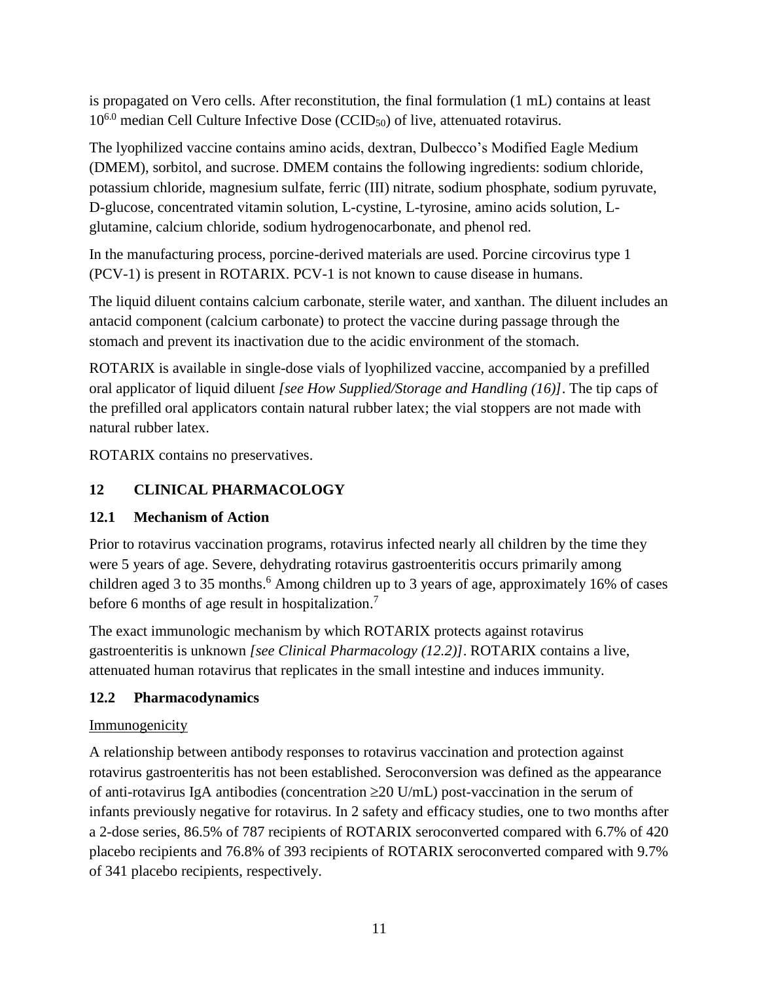is propagated on Vero cells. After reconstitution, the final formulation (1 mL) contains at least  $10^{6.0}$  median Cell Culture Infective Dose (CCID<sub>50</sub>) of live, attenuated rotavirus.

The lyophilized vaccine contains amino acids, dextran, Dulbecco's Modified Eagle Medium (DMEM), sorbitol, and sucrose. DMEM contains the following ingredients: sodium chloride, potassium chloride, magnesium sulfate, ferric (III) nitrate, sodium phosphate, sodium pyruvate, D-glucose, concentrated vitamin solution, L-cystine, L-tyrosine, amino acids solution, Lglutamine, calcium chloride, sodium hydrogenocarbonate, and phenol red.

In the manufacturing process, porcine-derived materials are used. Porcine circovirus type 1 (PCV-1) is present in ROTARIX. PCV-1 is not known to cause disease in humans.

The liquid diluent contains calcium carbonate, sterile water, and xanthan. The diluent includes an antacid component (calcium carbonate) to protect the vaccine during passage through the stomach and prevent its inactivation due to the acidic environment of the stomach.

ROTARIX is available in single-dose vials of lyophilized vaccine, accompanied by a prefilled oral applicator of liquid diluent *[see How Supplied/Storage and Handling (16)]*. The tip caps of the prefilled oral applicators contain natural rubber latex; the vial stoppers are not made with natural rubber latex.

<span id="page-10-0"></span>ROTARIX contains no preservatives.

# **12 CLINICAL PHARMACOLOGY**

# <span id="page-10-1"></span>**12.1 Mechanism of Action**

Prior to rotavirus vaccination programs, rotavirus infected nearly all children by the time they were 5 years of age. Severe, dehydrating rotavirus gastroenteritis occurs primarily among children aged 3 to 35 months. <sup>6</sup> Among children up to 3 years of age, approximately 16% of cases before 6 months of age result in hospitalization.<sup>7</sup>

The exact immunologic mechanism by which ROTARIX protects against rotavirus gastroenteritis is unknown *[see Clinical Pharmacology (12.2)]*. ROTARIX contains a live, attenuated human rotavirus that replicates in the small intestine and induces immunity.

## <span id="page-10-2"></span>**12.2 Pharmacodynamics**

## **Immunogenicity**

A relationship between antibody responses to rotavirus vaccination and protection against rotavirus gastroenteritis has not been established. Seroconversion was defined as the appearance of anti-rotavirus IgA antibodies (concentration  $\geq$  U/mL) post-vaccination in the serum of infants previously negative for rotavirus. In 2 safety and efficacy studies, one to two months after a 2-dose series, 86.5% of 787 recipients of ROTARIX seroconverted compared with 6.7% of 420 placebo recipients and 76.8% of 393 recipients of ROTARIX seroconverted compared with 9.7% of 341 placebo recipients, respectively.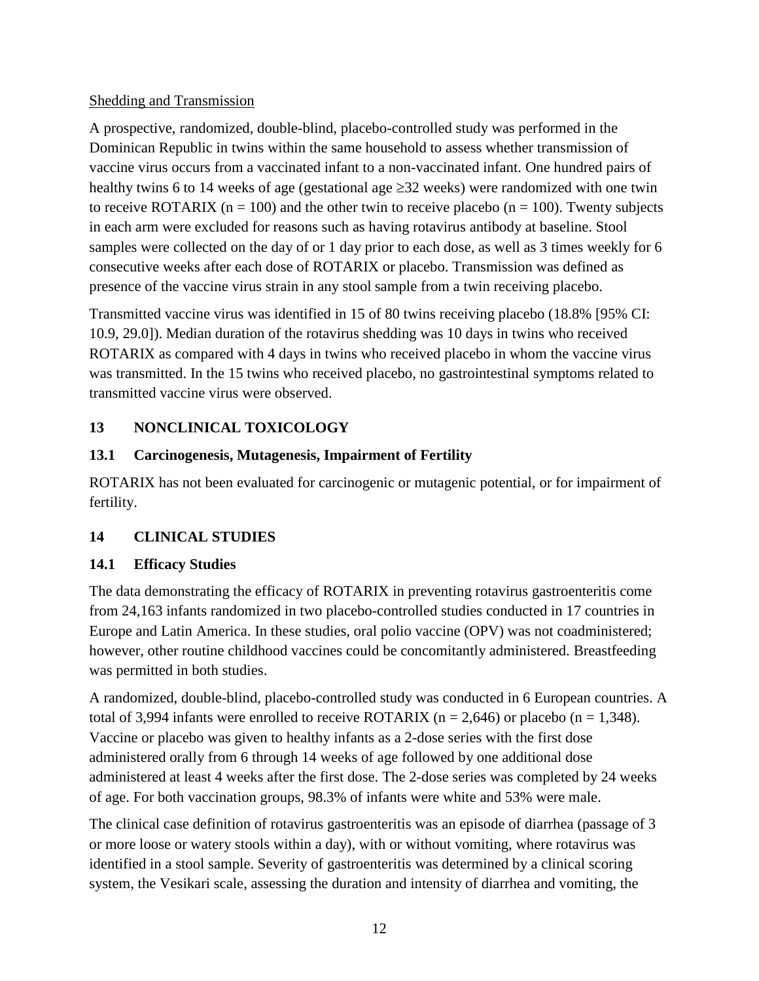## Shedding and Transmission

A prospective, randomized, double-blind, placebo-controlled study was performed in the Dominican Republic in twins within the same household to assess whether transmission of vaccine virus occurs from a vaccinated infant to a non-vaccinated infant. One hundred pairs of healthy twins 6 to 14 weeks of age (gestational age  $\geq$ 32 weeks) were randomized with one twin to receive ROTARIX ( $n = 100$ ) and the other twin to receive placebo ( $n = 100$ ). Twenty subjects in each arm were excluded for reasons such as having rotavirus antibody at baseline. Stool samples were collected on the day of or 1 day prior to each dose, as well as 3 times weekly for 6 consecutive weeks after each dose of ROTARIX or placebo. Transmission was defined as presence of the vaccine virus strain in any stool sample from a twin receiving placebo.

Transmitted vaccine virus was identified in 15 of 80 twins receiving placebo (18.8% [95% CI: 10.9, 29.0]). Median duration of the rotavirus shedding was 10 days in twins who received ROTARIX as compared with 4 days in twins who received placebo in whom the vaccine virus was transmitted. In the 15 twins who received placebo, no gastrointestinal symptoms related to transmitted vaccine virus were observed.

## <span id="page-11-0"></span>**13 NONCLINICAL TOXICOLOGY**

## <span id="page-11-1"></span>**13.1 Carcinogenesis, Mutagenesis, Impairment of Fertility**

ROTARIX has not been evaluated for carcinogenic or mutagenic potential, or for impairment of fertility.

## <span id="page-11-2"></span>**14 CLINICAL STUDIES**

## <span id="page-11-3"></span>**14.1 Efficacy Studies**

The data demonstrating the efficacy of ROTARIX in preventing rotavirus gastroenteritis come from 24,163 infants randomized in two placebo-controlled studies conducted in 17 countries in Europe and Latin America. In these studies, oral polio vaccine (OPV) was not coadministered; however, other routine childhood vaccines could be concomitantly administered. Breastfeeding was permitted in both studies.

A randomized, double-blind, placebo-controlled study was conducted in 6 European countries. A total of 3,994 infants were enrolled to receive ROTARIX ( $n = 2,646$ ) or placebo ( $n = 1,348$ ). Vaccine or placebo was given to healthy infants as a 2-dose series with the first dose administered orally from 6 through 14 weeks of age followed by one additional dose administered at least 4 weeks after the first dose. The 2-dose series was completed by 24 weeks of age. For both vaccination groups, 98.3% of infants were white and 53% were male.

The clinical case definition of rotavirus gastroenteritis was an episode of diarrhea (passage of 3 or more loose or watery stools within a day), with or without vomiting, where rotavirus was identified in a stool sample. Severity of gastroenteritis was determined by a clinical scoring system, the Vesikari scale, assessing the duration and intensity of diarrhea and vomiting, the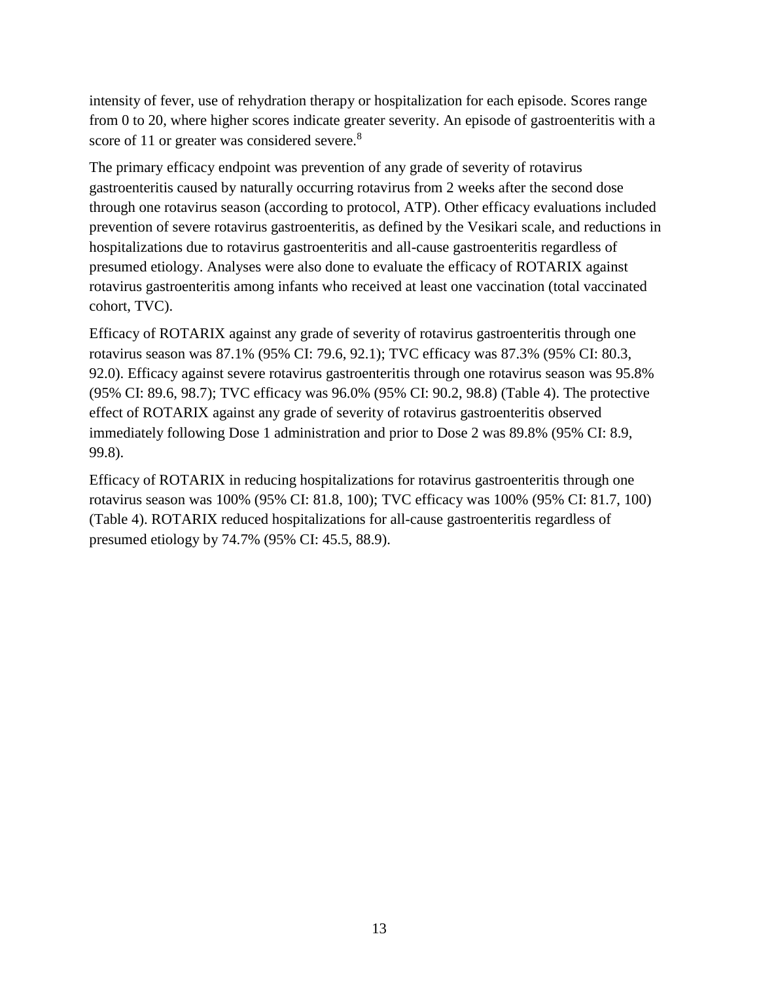intensity of fever, use of rehydration therapy or hospitalization for each episode. Scores range from 0 to 20, where higher scores indicate greater severity. An episode of gastroenteritis with a score of 11 or greater was considered severe.<sup>8</sup>

The primary efficacy endpoint was prevention of any grade of severity of rotavirus gastroenteritis caused by naturally occurring rotavirus from 2 weeks after the second dose through one rotavirus season (according to protocol, ATP). Other efficacy evaluations included prevention of severe rotavirus gastroenteritis, as defined by the Vesikari scale, and reductions in hospitalizations due to rotavirus gastroenteritis and all-cause gastroenteritis regardless of presumed etiology. Analyses were also done to evaluate the efficacy of ROTARIX against rotavirus gastroenteritis among infants who received at least one vaccination (total vaccinated cohort, TVC).

Efficacy of ROTARIX against any grade of severity of rotavirus gastroenteritis through one rotavirus season was 87.1% (95% CI: 79.6, 92.1); TVC efficacy was 87.3% (95% CI: 80.3, 92.0). Efficacy against severe rotavirus gastroenteritis through one rotavirus season was 95.8% (95% CI: 89.6, 98.7); TVC efficacy was 96.0% (95% CI: 90.2, 98.8) (Table 4). The protective effect of ROTARIX against any grade of severity of rotavirus gastroenteritis observed immediately following Dose 1 administration and prior to Dose 2 was 89.8% (95% CI: 8.9, 99.8).

Efficacy of ROTARIX in reducing hospitalizations for rotavirus gastroenteritis through one rotavirus season was 100% (95% CI: 81.8, 100); TVC efficacy was 100% (95% CI: 81.7, 100) (Table 4). ROTARIX reduced hospitalizations for all-cause gastroenteritis regardless of presumed etiology by 74.7% (95% CI: 45.5, 88.9).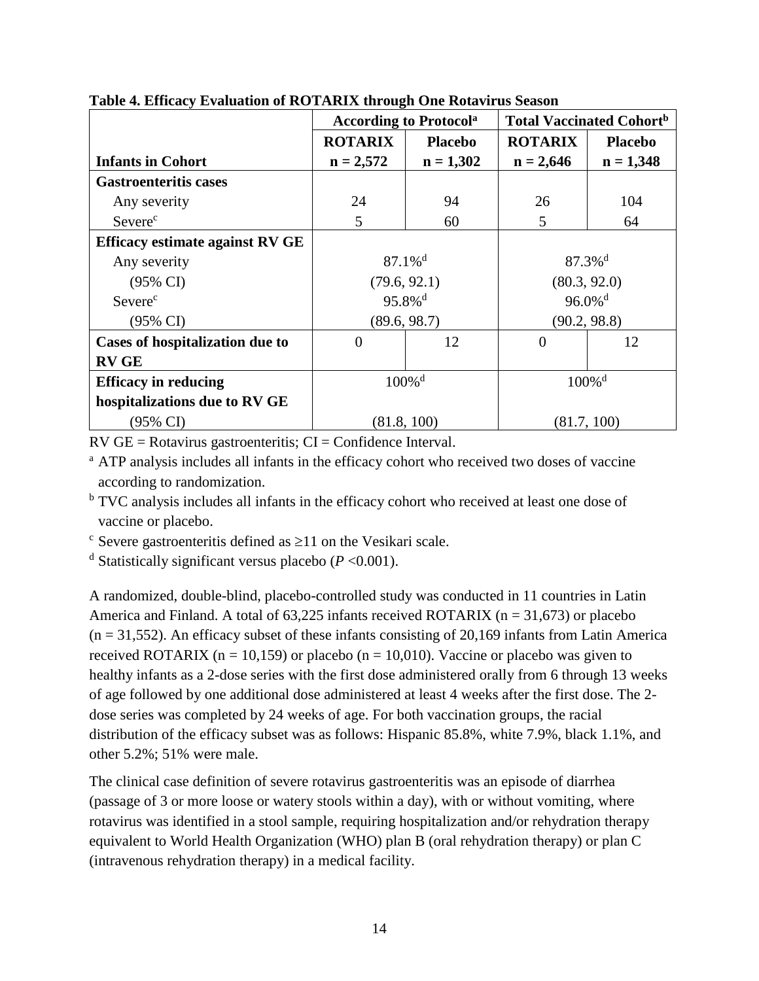|                                        |                       | <b>According to Protocola</b> | <b>Total Vaccinated Cohort</b> <sup>b</sup> |                |  |
|----------------------------------------|-----------------------|-------------------------------|---------------------------------------------|----------------|--|
|                                        | <b>ROTARIX</b>        | <b>Placebo</b>                | <b>ROTARIX</b>                              | <b>Placebo</b> |  |
| <b>Infants in Cohort</b>               | $n = 2,572$           | $n = 1,302$                   | $n = 2,646$                                 | $n = 1,348$    |  |
| <b>Gastroenteritis cases</b>           |                       |                               |                                             |                |  |
| Any severity                           | 24                    | 94                            | 26                                          | 104            |  |
| Severe <sup>c</sup>                    | 5                     | 60                            | 5                                           | 64             |  |
| <b>Efficacy estimate against RV GE</b> |                       |                               |                                             |                |  |
| Any severity                           | $87.1\%$ <sup>d</sup> |                               | $87.3\%$ <sup>d</sup>                       |                |  |
| $(95\% \text{ CI})$                    | (79.6, 92.1)          |                               | (80.3, 92.0)                                |                |  |
| Severe <sup>c</sup>                    | $95.8\%$ <sup>d</sup> |                               | $96.0\%$ <sup>d</sup>                       |                |  |
| (95% CI)                               | (89.6, 98.7)          |                               | (90.2, 98.8)                                |                |  |
| Cases of hospitalization due to        | $\overline{0}$        | 12                            | $\overline{0}$                              | 12             |  |
| <b>RV GE</b>                           |                       |                               |                                             |                |  |
| <b>Efficacy in reducing</b>            | $100\%$ <sup>d</sup>  |                               | $100\%$ <sup>d</sup>                        |                |  |
| hospitalizations due to RV GE          |                       |                               |                                             |                |  |
| (95% CI)                               | (81.8, 100)           |                               | (81.7, 100)                                 |                |  |

**Table 4. Efficacy Evaluation of ROTARIX through One Rotavirus Season**

 $RV$  GE = Rotavirus gastroenteritis;  $CI =$  Confidence Interval.

<sup>a</sup> ATP analysis includes all infants in the efficacy cohort who received two doses of vaccine according to randomization.

<sup>b</sup> TVC analysis includes all infants in the efficacy cohort who received at least one dose of vaccine or placebo.

 $\epsilon$  Severe gastroenteritis defined as  $\geq$ 11 on the Vesikari scale.

<sup>d</sup> Statistically significant versus placebo ( $P < 0.001$ ).

A randomized, double-blind, placebo-controlled study was conducted in 11 countries in Latin America and Finland. A total of  $63,225$  infants received ROTARIX (n = 31,673) or placebo  $(n = 31,552)$ . An efficacy subset of these infants consisting of 20,169 infants from Latin America received ROTARIX ( $n = 10,159$ ) or placebo ( $n = 10,010$ ). Vaccine or placebo was given to healthy infants as a 2-dose series with the first dose administered orally from 6 through 13 weeks of age followed by one additional dose administered at least 4 weeks after the first dose. The 2 dose series was completed by 24 weeks of age. For both vaccination groups, the racial distribution of the efficacy subset was as follows: Hispanic 85.8%, white 7.9%, black 1.1%, and other 5.2%; 51% were male.

The clinical case definition of severe rotavirus gastroenteritis was an episode of diarrhea (passage of 3 or more loose or watery stools within a day), with or without vomiting, where rotavirus was identified in a stool sample, requiring hospitalization and/or rehydration therapy equivalent to World Health Organization (WHO) plan B (oral rehydration therapy) or plan C (intravenous rehydration therapy) in a medical facility.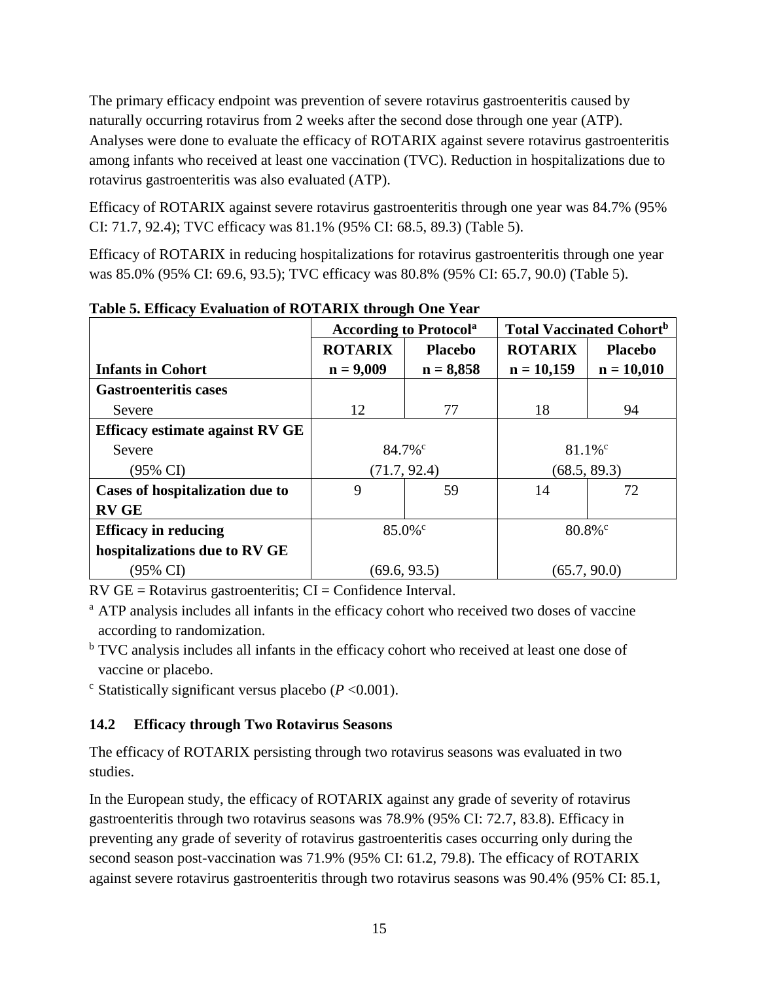The primary efficacy endpoint was prevention of severe rotavirus gastroenteritis caused by naturally occurring rotavirus from 2 weeks after the second dose through one year (ATP). Analyses were done to evaluate the efficacy of ROTARIX against severe rotavirus gastroenteritis among infants who received at least one vaccination (TVC). Reduction in hospitalizations due to rotavirus gastroenteritis was also evaluated (ATP).

Efficacy of ROTARIX against severe rotavirus gastroenteritis through one year was 84.7% (95% CI: 71.7, 92.4); TVC efficacy was 81.1% (95% CI: 68.5, 89.3) (Table 5).

Efficacy of ROTARIX in reducing hospitalizations for rotavirus gastroenteritis through one year was 85.0% (95% CI: 69.6, 93.5); TVC efficacy was 80.8% (95% CI: 65.7, 90.0) (Table 5).

|                                        | <b>According to Protocola</b> |                | <b>Total Vaccinated Cohort</b> <sup>b</sup> |                |
|----------------------------------------|-------------------------------|----------------|---------------------------------------------|----------------|
|                                        | <b>ROTARIX</b>                | <b>Placebo</b> | <b>ROTARIX</b>                              | <b>Placebo</b> |
| <b>Infants in Cohort</b>               | $n = 9,009$                   | $n = 8,858$    | $n = 10,159$                                | $n = 10,010$   |
| <b>Gastroenteritis cases</b>           |                               |                |                                             |                |
| Severe                                 | 12                            | 77             | 18                                          | 94             |
| <b>Efficacy estimate against RV GE</b> |                               |                |                                             |                |
| Severe                                 | $84.7\%$ <sup>c</sup>         |                | $81.1\%$ <sup>c</sup>                       |                |
| $(95\% \text{ CI})$                    | (71.7, 92.4)                  |                | (68.5, 89.3)                                |                |
| Cases of hospitalization due to        | 9<br>59                       |                | 14                                          | 72             |
| <b>RV GE</b>                           |                               |                |                                             |                |
| <b>Efficacy in reducing</b>            | $85.0\%$ <sup>c</sup>         |                | $80.8\%$ <sup>c</sup>                       |                |
| hospitalizations due to RV GE          |                               |                |                                             |                |
| (95% CI)                               | (69.6, 93.5)                  |                | (65.7, 90.0)                                |                |

**Table 5. Efficacy Evaluation of ROTARIX through One Year**

 $RV$  GE = Rotavirus gastroenteritis;  $CI =$  Confidence Interval.

<sup>a</sup> ATP analysis includes all infants in the efficacy cohort who received two doses of vaccine according to randomization.

<sup>b</sup> TVC analysis includes all infants in the efficacy cohort who received at least one dose of vaccine or placebo.

 $\degree$  Statistically significant versus placebo ( $P \le 0.001$ ).

## <span id="page-14-0"></span>**14.2 Efficacy through Two Rotavirus Seasons**

The efficacy of ROTARIX persisting through two rotavirus seasons was evaluated in two studies.

In the European study, the efficacy of ROTARIX against any grade of severity of rotavirus gastroenteritis through two rotavirus seasons was 78.9% (95% CI: 72.7, 83.8). Efficacy in preventing any grade of severity of rotavirus gastroenteritis cases occurring only during the second season post-vaccination was 71.9% (95% CI: 61.2, 79.8). The efficacy of ROTARIX against severe rotavirus gastroenteritis through two rotavirus seasons was 90.4% (95% CI: 85.1,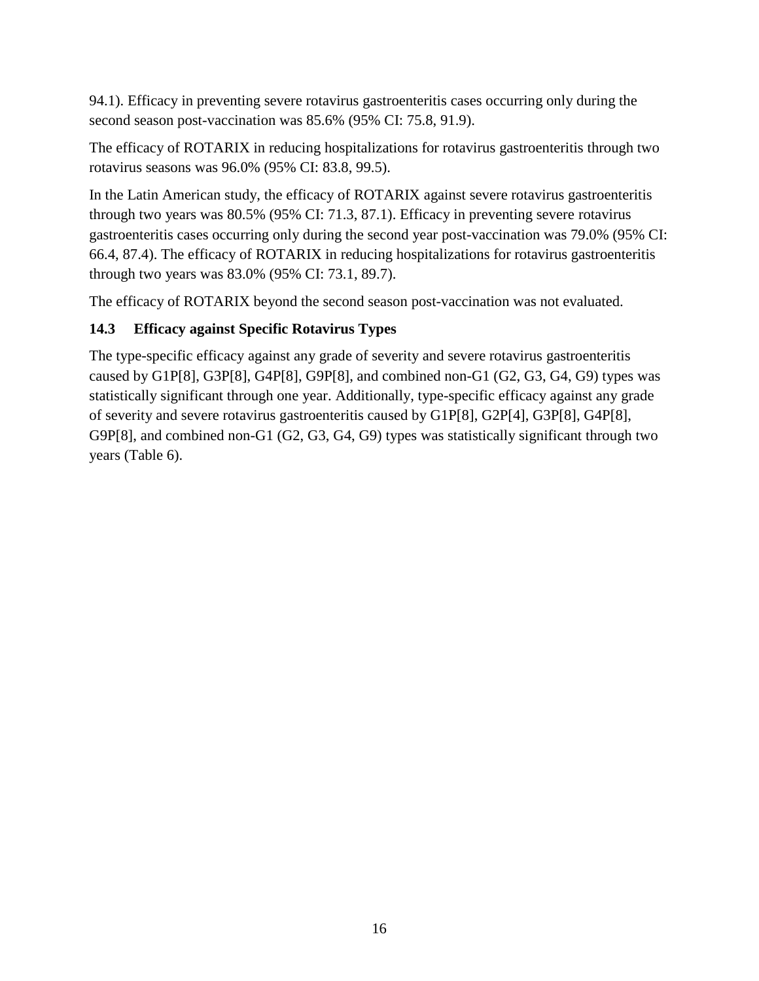94.1). Efficacy in preventing severe rotavirus gastroenteritis cases occurring only during the second season post-vaccination was 85.6% (95% CI: 75.8, 91.9).

The efficacy of ROTARIX in reducing hospitalizations for rotavirus gastroenteritis through two rotavirus seasons was 96.0% (95% CI: 83.8, 99.5).

In the Latin American study, the efficacy of ROTARIX against severe rotavirus gastroenteritis through two years was 80.5% (95% CI: 71.3, 87.1). Efficacy in preventing severe rotavirus gastroenteritis cases occurring only during the second year post-vaccination was 79.0% (95% CI: 66.4, 87.4). The efficacy of ROTARIX in reducing hospitalizations for rotavirus gastroenteritis through two years was 83.0% (95% CI: 73.1, 89.7).

The efficacy of ROTARIX beyond the second season post-vaccination was not evaluated.

## <span id="page-15-0"></span>**14.3 Efficacy against Specific Rotavirus Types**

The type-specific efficacy against any grade of severity and severe rotavirus gastroenteritis caused by G1P[8], G3P[8], G4P[8], G9P[8], and combined non-G1 (G2, G3, G4, G9) types was statistically significant through one year. Additionally, type-specific efficacy against any grade of severity and severe rotavirus gastroenteritis caused by G1P[8], G2P[4], G3P[8], G4P[8], G9P[8], and combined non-G1 (G2, G3, G4, G9) types was statistically significant through two years (Table 6).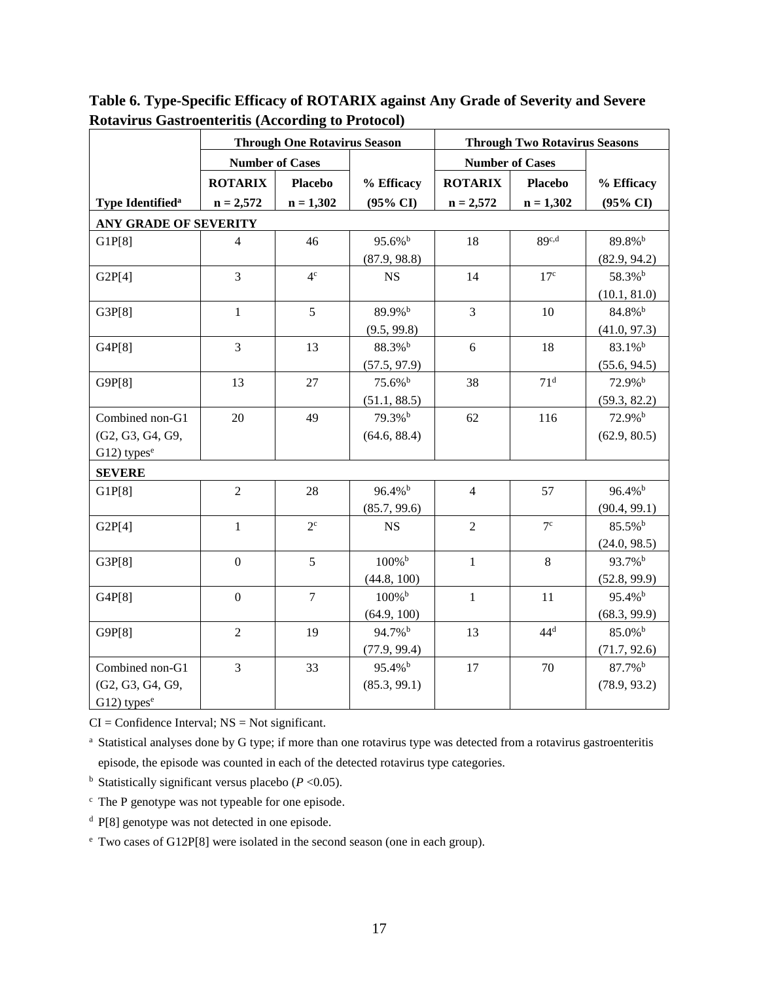|                              | <b>Through One Rotavirus Season</b> |                | <b>Through Two Rotavirus Seasons</b> |                        |                 |                     |
|------------------------------|-------------------------------------|----------------|--------------------------------------|------------------------|-----------------|---------------------|
|                              | <b>Number of Cases</b>              |                |                                      | <b>Number of Cases</b> |                 |                     |
|                              | <b>ROTARIX</b>                      | <b>Placebo</b> | % Efficacy                           | <b>ROTARIX</b>         | <b>Placebo</b>  | % Efficacy          |
| Type Identified <sup>a</sup> | $n = 2,572$                         | $n = 1,302$    | $(95\% \text{ CI})$                  | $n = 2,572$            | $n = 1,302$     | $(95\% \text{ CI})$ |
| <b>ANY GRADE OF SEVERITY</b> |                                     |                |                                      |                        |                 |                     |
| GIP[8]                       | $\overline{4}$                      | 46             | 95.6% <sup>b</sup>                   | 18                     | 89c,d           | 89.8% <sup>b</sup>  |
|                              |                                     |                | (87.9, 98.8)                         |                        |                 | (82.9, 94.2)        |
| G2P[4]                       | 3                                   | 4 <sup>c</sup> | <b>NS</b>                            | 14                     | 17 <sup>c</sup> | 58.3% <sup>b</sup>  |
|                              |                                     |                |                                      |                        |                 | (10.1, 81.0)        |
| G3P[8]                       | $\mathbf{1}$                        | 5              | 89.9%b                               | $\overline{3}$         | 10              | 84.8% <sup>b</sup>  |
|                              |                                     |                | (9.5, 99.8)                          |                        |                 | (41.0, 97.3)        |
| G4P[8]                       | 3                                   | 13             | 88.3% <sup>b</sup>                   | 6                      | 18              | 83.1% <sup>b</sup>  |
|                              |                                     |                | (57.5, 97.9)                         |                        |                 | (55.6, 94.5)        |
| G9P[8]                       | 13                                  | 27             | 75.6% <sup>b</sup>                   | 38                     | 71 <sup>d</sup> | 72.9%b              |
|                              |                                     |                | (51.1, 88.5)                         |                        |                 | (59.3, 82.2)        |
| Combined non-G1              | 20                                  | 49             | 79.3% <sup>b</sup>                   | 62                     | 116             | 72.9%b              |
| (G2, G3, G4, G9,             |                                     |                | (64.6, 88.4)                         |                        |                 | (62.9, 80.5)        |
| $G12$ ) types <sup>e</sup>   |                                     |                |                                      |                        |                 |                     |
| <b>SEVERE</b>                |                                     |                |                                      |                        |                 |                     |
| GIP[8]                       | $\overline{2}$                      | 28             | $96.4\%$ <sup>b</sup>                | $\overline{4}$         | 57              | 96.4% <sup>b</sup>  |
|                              |                                     |                | (85.7, 99.6)                         |                        |                 | (90.4, 99.1)        |
| G2P[4]                       | $\mathbf{1}$                        | $2^{\circ}$    | <b>NS</b>                            | $\overline{2}$         | 7 <sup>c</sup>  | 85.5% <sup>b</sup>  |
|                              |                                     |                |                                      |                        |                 | (24.0, 98.5)        |
| G3P[8]                       | $\mathbf{0}$                        | 5              | 100%b                                | $\mathbf{1}$           | 8               | 93.7% <sup>b</sup>  |
|                              |                                     |                | (44.8, 100)                          |                        |                 | (52.8, 99.9)        |
| G4P[8]                       | $\mathbf{0}$                        | $\overline{7}$ | $100\%$ <sup>b</sup>                 | $\mathbf{1}$           | 11              | 95.4% <sup>b</sup>  |
|                              |                                     |                | (64.9, 100)                          |                        |                 | (68.3, 99.9)        |
| G9P[8]                       | $\overline{2}$                      | 19             | 94.7% <sup>b</sup>                   | 13                     | $44^d$          | 85.0% <sup>b</sup>  |
|                              |                                     |                | (77.9, 99.4)                         |                        |                 | (71.7, 92.6)        |
| Combined non-G1              | 3                                   | 33             | 95.4% <sup>b</sup>                   | 17                     | 70              | 87.7% <sup>b</sup>  |
| (G2, G3, G4, G9,             |                                     |                | (85.3, 99.1)                         |                        |                 | (78.9, 93.2)        |
| $G12$ ) types <sup>e</sup>   |                                     |                |                                      |                        |                 |                     |

**Table 6. Type-Specific Efficacy of ROTARIX against Any Grade of Severity and Severe Rotavirus Gastroenteritis (According to Protocol)**

 $CI =$  Confidence Interval;  $NS =$  Not significant.

<sup>a</sup> Statistical analyses done by G type; if more than one rotavirus type was detected from a rotavirus gastroenteritis episode, the episode was counted in each of the detected rotavirus type categories.

 $<sup>b</sup>$  Statistically significant versus placebo ( $P < 0.05$ ).</sup>

<sup>c</sup> The P genotype was not typeable for one episode.

<sup>d</sup> P[8] genotype was not detected in one episode.

<sup>e</sup> Two cases of G12P[8] were isolated in the second season (one in each group).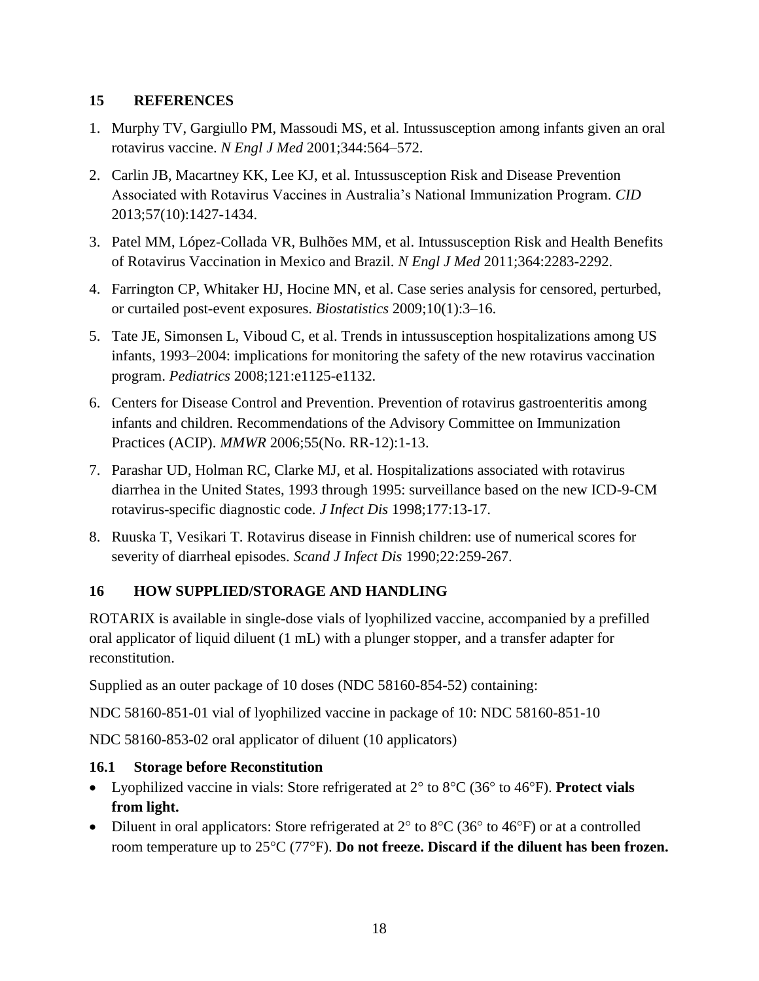## <span id="page-17-0"></span>**15 REFERENCES**

- 1. Murphy TV, Gargiullo PM, Massoudi MS, et al. Intussusception among infants given an oral rotavirus vaccine. *N Engl J Med* 2001;344:564–572.
- 2. Carlin JB, Macartney KK, Lee KJ, et al. Intussusception Risk and Disease Prevention Associated with Rotavirus Vaccines in Australia's National Immunization Program. *CID* 2013;57(10):1427-1434.
- 3. Patel MM, López-Collada VR, Bulhões MM, et al. Intussusception Risk and Health Benefits of Rotavirus Vaccination in Mexico and Brazil. *N Engl J Med* 2011;364:2283-2292.
- 4. Farrington CP, Whitaker HJ, Hocine MN, et al. Case series analysis for censored, perturbed, or curtailed post-event exposures. *Biostatistics* 2009;10(1):3–16.
- 5. Tate JE, Simonsen L, Viboud C, et al. Trends in intussusception hospitalizations among US infants, 1993–2004: implications for monitoring the safety of the new rotavirus vaccination program. *Pediatrics* 2008;121:e1125-e1132.
- 6. Centers for Disease Control and Prevention. Prevention of rotavirus gastroenteritis among infants and children. Recommendations of the Advisory Committee on Immunization Practices (ACIP). *MMWR* 2006;55(No. RR-12):1-13.
- 7. Parashar UD, Holman RC, Clarke MJ, et al. Hospitalizations associated with rotavirus diarrhea in the United States, 1993 through 1995: surveillance based on the new ICD-9-CM rotavirus-specific diagnostic code. *J Infect Dis* 1998;177:13-17.
- 8. Ruuska T, Vesikari T. Rotavirus disease in Finnish children: use of numerical scores for severity of diarrheal episodes. *Scand J Infect Dis* 1990;22:259-267.

# <span id="page-17-1"></span>**16 HOW SUPPLIED/STORAGE AND HANDLING**

ROTARIX is available in single-dose vials of lyophilized vaccine, accompanied by a prefilled oral applicator of liquid diluent (1 mL) with a plunger stopper, and a transfer adapter for reconstitution.

Supplied as an outer package of 10 doses (NDC 58160-854-52) containing:

NDC 58160-851-01 vial of lyophilized vaccine in package of 10: NDC 58160-851-10

NDC 58160-853-02 oral applicator of diluent (10 applicators)

## <span id="page-17-2"></span>**16.1 Storage before Reconstitution**

- Lyophilized vaccine in vials: Store refrigerated at 2° to 8°C (36° to 46°F). Protect vials **from light.**
- Diluent in oral applicators: Store refrigerated at  $2^{\circ}$  to  $8^{\circ}$ C (36 $^{\circ}$  to 46 $^{\circ}$ F) or at a controlled room temperature up to 25<sup>o</sup>C (77<sup>o</sup>F). **Do not freeze. Discard if the diluent has been frozen.**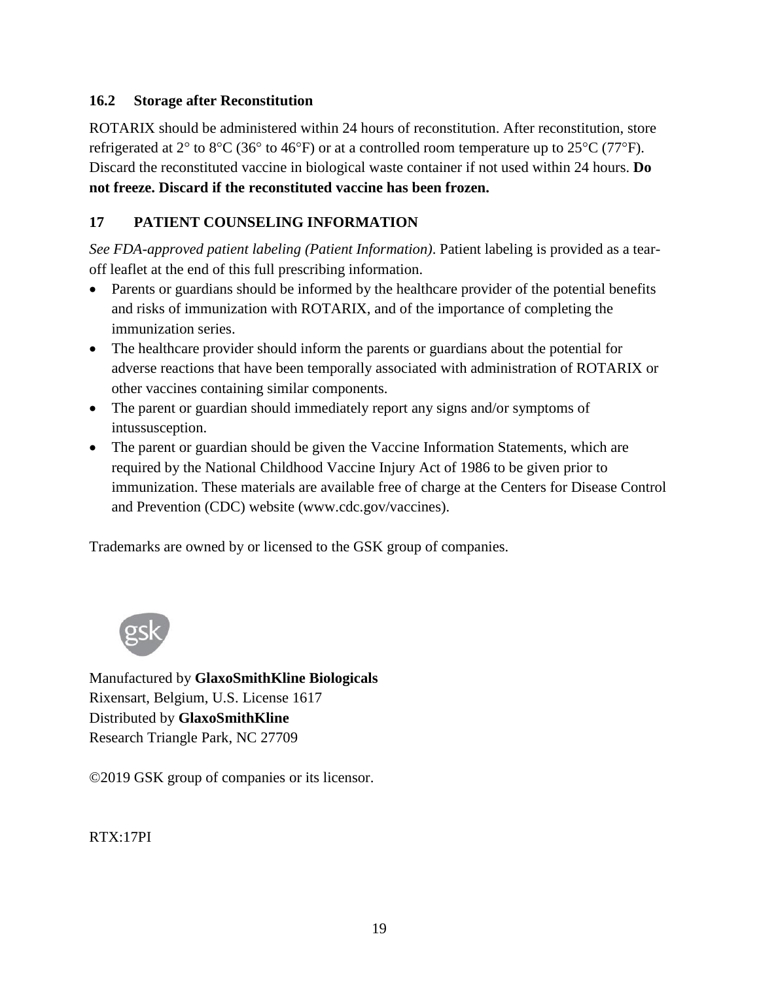## <span id="page-18-0"></span>**16.2 Storage after Reconstitution**

ROTARIX should be administered within 24 hours of reconstitution. After reconstitution, store refrigerated at 2 $\degree$  to 8 $\degree$ C (36 $\degree$  to 46 $\degree$ F) or at a controlled room temperature up to 25 $\degree$ C (77 $\degree$ F). Discard the reconstituted vaccine in biological waste container if not used within 24 hours. **Do not freeze. Discard if the reconstituted vaccine has been frozen.**

## <span id="page-18-1"></span>**17 PATIENT COUNSELING INFORMATION**

*See FDA-approved patient labeling (Patient Information)*. Patient labeling is provided as a tearoff leaflet at the end of this full prescribing information.

- Parents or guardians should be informed by the healthcare provider of the potential benefits and risks of immunization with ROTARIX, and of the importance of completing the immunization series.
- The healthcare provider should inform the parents or guardians about the potential for adverse reactions that have been temporally associated with administration of ROTARIX or other vaccines containing similar components.
- The parent or guardian should immediately report any signs and/or symptoms of intussusception.
- The parent or guardian should be given the Vaccine Information Statements, which are required by the National Childhood Vaccine Injury Act of 1986 to be given prior to immunization. These materials are available free of charge at the Centers for Disease Control and Prevention (CDC) website (www.cdc.gov/vaccines).

Trademarks are owned by or licensed to the GSK group of companies.



Manufactured by **GlaxoSmithKline Biologicals** Rixensart, Belgium, U.S. License 1617 Distributed by **GlaxoSmithKline** Research Triangle Park, NC 27709

©2019 GSK group of companies or its licensor.

RTX:17PI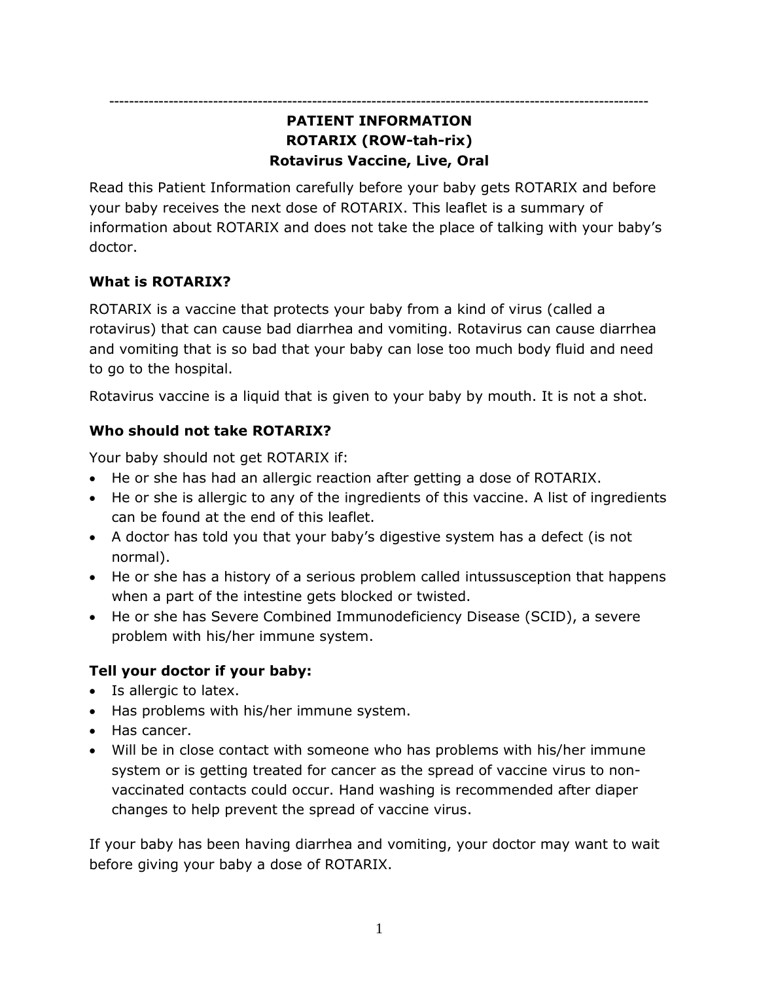**-------------------------------------------------------------------------------------------------------------**

# **PATIENT INFORMATION ROTARIX (ROW-tah-rix) Rotavirus Vaccine, Live, Oral**

Read this Patient Information carefully before your baby gets ROTARIX and before your baby receives the next dose of ROTARIX. This leaflet is a summary of information about ROTARIX and does not take the place of talking with your baby's doctor.

# **What is ROTARIX?**

ROTARIX is a vaccine that protects your baby from a kind of virus (called a rotavirus) that can cause bad diarrhea and vomiting. Rotavirus can cause diarrhea and vomiting that is so bad that your baby can lose too much body fluid and need to go to the hospital.

Rotavirus vaccine is a liquid that is given to your baby by mouth. It is not a shot.

# **Who should not take ROTARIX?**

Your baby should not get ROTARIX if:

- He or she has had an allergic reaction after getting a dose of ROTARIX.
- He or she is allergic to any of the ingredients of this vaccine. A list of ingredients can be found at the end of this leaflet.
- A doctor has told you that your baby's digestive system has a defect (is not normal).
- He or she has a history of a serious problem called intussusception that happens when a part of the intestine gets blocked or twisted.
- He or she has Severe Combined Immunodeficiency Disease (SCID), a severe problem with his/her immune system.

# **Tell your doctor if your baby:**

- Is allergic to latex.
- Has problems with his/her immune system.
- Has cancer.
- Will be in close contact with someone who has problems with his/her immune system or is getting treated for cancer as the spread of vaccine virus to nonvaccinated contacts could occur. Hand washing is recommended after diaper changes to help prevent the spread of vaccine virus.

If your baby has been having diarrhea and vomiting, your doctor may want to wait before giving your baby a dose of ROTARIX.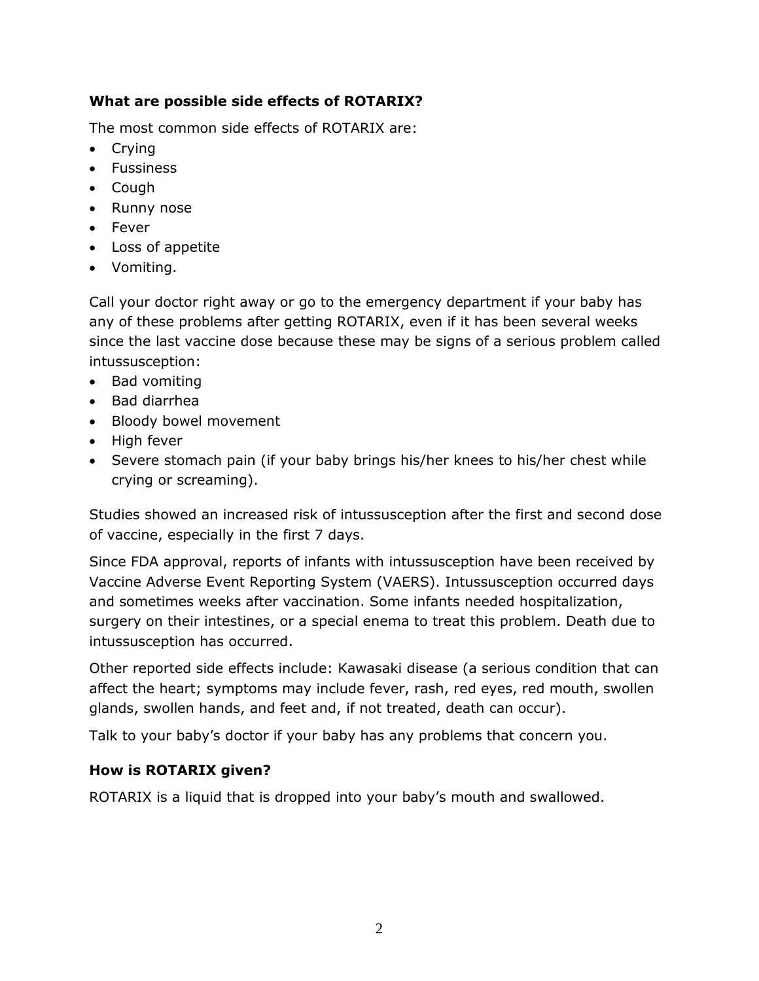# **What are possible side effects of ROTARIX?**

The most common side effects of ROTARIX are:

- Crying
- Fussiness
- Cough
- Runny nose
- Fever
- Loss of appetite
- Vomiting.

Call your doctor right away or go to the emergency department if your baby has any of these problems after getting ROTARIX, even if it has been several weeks since the last vaccine dose because these may be signs of a serious problem called intussusception:

- Bad vomiting
- Bad diarrhea
- Bloody bowel movement
- High fever
- Severe stomach pain (if your baby brings his/her knees to his/her chest while crying or screaming).

Studies showed an increased risk of intussusception after the first and second dose of vaccine, especially in the first 7 days.

Since FDA approval, reports of infants with intussusception have been received by Vaccine Adverse Event Reporting System (VAERS). Intussusception occurred days and sometimes weeks after vaccination. Some infants needed hospitalization, surgery on their intestines, or a special enema to treat this problem. Death due to intussusception has occurred.

Other reported side effects include: Kawasaki disease (a serious condition that can affect the heart; symptoms may include fever, rash, red eyes, red mouth, swollen glands, swollen hands, and feet and, if not treated, death can occur).

Talk to your baby's doctor if your baby has any problems that concern you.

# **How is ROTARIX given?**

ROTARIX is a liquid that is dropped into your baby's mouth and swallowed.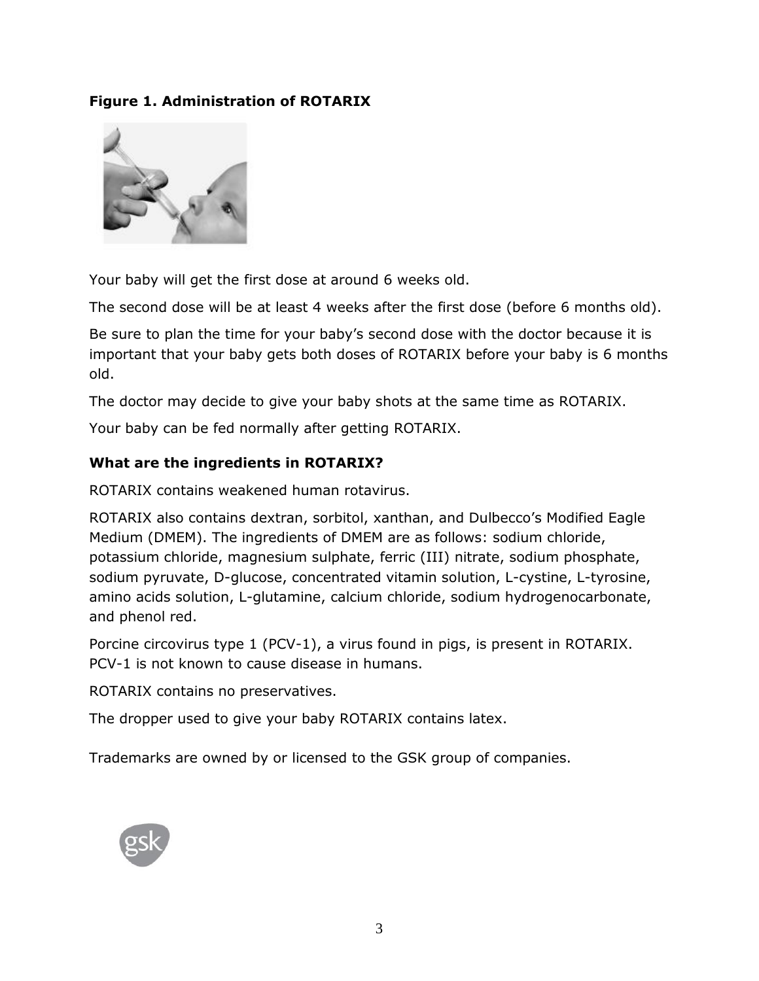# **Figure 1. Administration of ROTARIX**



Your baby will get the first dose at around 6 weeks old.

The second dose will be at least 4 weeks after the first dose (before 6 months old).

Be sure to plan the time for your baby's second dose with the doctor because it is important that your baby gets both doses of ROTARIX before your baby is 6 months old.

The doctor may decide to give your baby shots at the same time as ROTARIX.

Your baby can be fed normally after getting ROTARIX.

## **What are the ingredients in ROTARIX?**

ROTARIX contains weakened human rotavirus.

ROTARIX also contains dextran, sorbitol, xanthan, and Dulbecco's Modified Eagle Medium (DMEM). The ingredients of DMEM are as follows: sodium chloride, potassium chloride, magnesium sulphate, ferric (III) nitrate, sodium phosphate, sodium pyruvate, D-glucose, concentrated vitamin solution, L-cystine, L-tyrosine, amino acids solution, L-glutamine, calcium chloride, sodium hydrogenocarbonate, and phenol red.

Porcine circovirus type 1 (PCV-1), a virus found in pigs, is present in ROTARIX. PCV-1 is not known to cause disease in humans.

ROTARIX contains no preservatives.

The dropper used to give your baby ROTARIX contains latex.

Trademarks are owned by or licensed to the GSK group of companies.